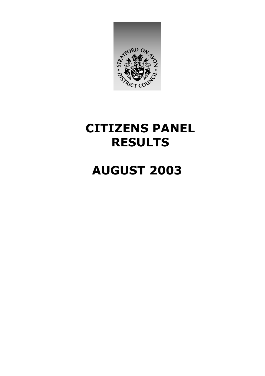

### **CITIZENS PANEL RESULTS**

### **AUGUST 2003**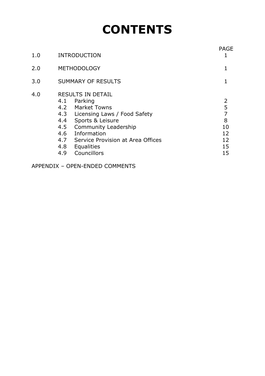## **CONTENTS**

| 1.0 | <b>INTRODUCTION</b>                                                                                                                                                                                                                                           | <b>PAGE</b><br>1                                            |
|-----|---------------------------------------------------------------------------------------------------------------------------------------------------------------------------------------------------------------------------------------------------------------|-------------------------------------------------------------|
| 2.0 | <b>METHODOLOGY</b>                                                                                                                                                                                                                                            | 1                                                           |
| 3.0 | <b>SUMMARY OF RESULTS</b>                                                                                                                                                                                                                                     |                                                             |
| 4.0 | <b>RESULTS IN DETAIL</b><br>4.1<br>Parking<br>4.2 Market Towns<br>4.3 Licensing Laws / Food Safety<br>4.4<br>Sports & Leisure<br>4.5 Community Leadership<br>4.6 Information<br>4.7 Service Provision at Area Offices<br>4.8 Equalities<br>Councillors<br>4.9 | 2<br>5<br>$\overline{7}$<br>8<br>10<br>12<br>12<br>15<br>15 |

APPENDIX – OPEN-ENDED COMMENTS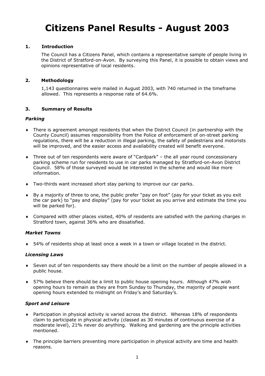### **Citizens Panel Results - August 2003**

#### **1. Introduction**

The Council has a Citizens Panel, which contains a representative sample of people living in the District of Stratford-on-Avon. By surveying this Panel, it is possible to obtain views and opinions representative of local residents.

#### **2. Methodology**

1,143 questionnaires were mailed in August 2003, with 740 returned in the timeframe allowed. This represents a response rate of 64.6%.

#### **3. Summary of Results**

#### *Parking*

- ♦ There is agreement amongst residents that when the District Council (in partnership with the County Council) assumes responsibility from the Police of enforcement of on-street parking regulations, there will be a reduction in illegal parking, the safety of pedestrians and motorists will be improved, and the easier access and availability created will benefit everyone.
- ♦ Three out of ten respondents were aware of "Cardpark" the all year round concessionary parking scheme run for residents to use in car parks managed by Stratford-on-Avon District Council. 58% of those surveyed would be interested in the scheme and would like more information.
- ♦ Two-thirds want increased short stay parking to improve our car parks.
- ♦ By a majority of three to one, the public prefer "pay on foot" (pay for your ticket as you exit the car park) to "pay and display" (pay for your ticket as you arrive and estimate the time you will be parked for).
- ♦ Compared with other places visited, 40% of residents are satisfied with the parking charges in Stratford town, against 36% who are dissatisfied.

#### *Market Towns*

♦ 54% of residents shop at least once a week in a town or village located in the district.

#### *Licensing Laws*

- ♦ Seven out of ten respondents say there should be a limit on the number of people allowed in a public house.
- ♦ 57% believe there should be a limit to public house opening hours. Although 47% wish opening hours to remain as they are from Sunday to Thursday, the majority of people want opening hours extended to midnight on Friday's and Saturday's.

#### *Sport and Leisure*

- ♦ Participation in physical activity is varied across the district. Whereas 18% of respondents claim to participate in physical activity (classed as 30 minutes of continuous exercise of a moderate level), 21% never do anything. Walking and gardening are the principle activities mentioned.
- ♦ The principle barriers preventing more participation in physical activity are time and health reasons.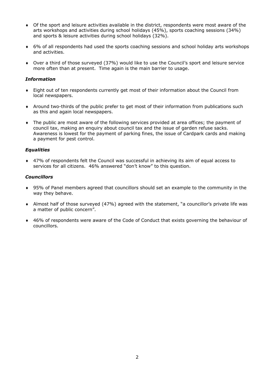- ♦ Of the sport and leisure activities available in the district, respondents were most aware of the arts workshops and activities during school holidays (45%), sports coaching sessions (34%) and sports & leisure activities during school holidays (32%).
- ♦ 6% of all respondents had used the sports coaching sessions and school holiday arts workshops and activities.
- ♦ Over a third of those surveyed (37%) would like to use the Council's sport and leisure service more often than at present. Time again is the main barrier to usage.

#### *Information*

- ♦ Eight out of ten respondents currently get most of their information about the Council from local newspapers.
- ♦ Around two-thirds of the public prefer to get most of their information from publications such as this and again local newspapers.
- ♦ The public are most aware of the following services provided at area offices; the payment of council tax, making an enquiry about council tax and the issue of garden refuse sacks. Awareness is lowest for the payment of parking fines, the issue of Cardpark cards and making a payment for pest control.

#### *Equalities*

♦ 47% of respondents felt the Council was successful in achieving its aim of equal access to services for all citizens. 46% answered "don't know" to this question.

#### *Councillors*

- ♦ 95% of Panel members agreed that councillors should set an example to the community in the way they behave.
- ♦ Almost half of those surveyed (47%) agreed with the statement, "a councillor's private life was a matter of public concern".
- ♦ 46% of respondents were aware of the Code of Conduct that exists governing the behaviour of councillors.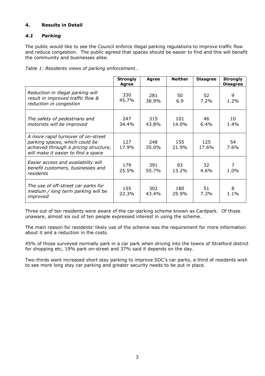#### **4. Results in Detail**

#### *4.1 Parking*

The public would like to see the Council enforce illegal parking regulations to improve traffic flow and reduce congestion. The public agreed that spaces should be easier to find and this will benefit the community and businesses alike.

*Table 1: Residents views of parking enforcement…* 

|                                                                                                                                                      | <b>Strongly</b><br><b>Agree</b> | <b>Agree</b> | <b>Neither</b> | <b>Disagree</b> | <b>Strongly</b><br><b>Disagree</b> |
|------------------------------------------------------------------------------------------------------------------------------------------------------|---------------------------------|--------------|----------------|-----------------|------------------------------------|
| Reduction in illegal parking will<br>result in improved traffic flow &<br>reduction in congestion                                                    | 330<br>45.7%                    | 281<br>38.9% | 50<br>6.9      | 52<br>7.2%      | 9<br>1.2%                          |
| The safety of pedestrians and<br>motorists will be improved                                                                                          | 247<br>34.4%                    | 315<br>43.8% | 101<br>14.0%   | 46<br>$6.4\%$   | 10<br>1.4%                         |
| A more rapid turnover of on-street<br>parking spaces, which could be<br>achieved through a pricing structure,<br>will make it easier to find a space | 127<br>17.9%                    | 248<br>35.0% | 155<br>21.9%   | 125<br>17.6%    | 54<br>7.6%                         |
| Easier access and availability will<br>benefit customers, businesses and<br>residents                                                                | 179<br>25.5%                    | 391<br>55.7% | 93<br>13.2%    | 32<br>4.6%      | 7<br>1.0%                          |
| The use of off-street car parks for<br>medium / long term parking will be<br>improved                                                                | 155<br>22.3%                    | 302<br>43.4% | 180<br>25.9%   | 51<br>7.3%      | 8<br>1.1%                          |

Three out of ten residents were aware of the car-parking scheme known as Cardpark. Of those unaware, almost six out of ten people expressed interest in using the scheme.

The main reason for residents' likely use of the scheme was the requirement for more information about it and a reduction in the costs.

45% of those surveyed normally park in a car park when driving into the towns of Stratford district for shopping etc, 19% park on-street and 37% said it depends on the day.

Two-thirds want increased short stay parking to improve SDC's car parks, a third of residents wish to see more long stay car parking and greater security needs to be put in place.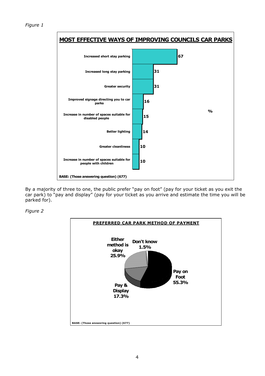

By a majority of three to one, the public prefer "pay on foot" (pay for your ticket as you exit the car park) to "pay and display" (pay for your ticket as you arrive and estimate the time you will be parked for).

*Figure 2* 

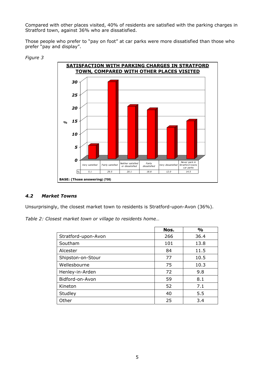Compared with other places visited, 40% of residents are satisfied with the parking charges in Stratford town, against 36% who are dissatisfied.

Those people who prefer to "pay on foot" at car parks were more dissatisfied than those who prefer "pay and display".



#### *Figure 3*

#### *4.2 Market Towns*

Unsurprisingly, the closest market town to residents is Stratford-upon-Avon (36%).

*Table 2: Closest market town or village to residents home…* 

|                     | Nos. | $\frac{0}{0}$ |
|---------------------|------|---------------|
| Stratford-upon-Avon | 266  | 36.4          |
| Southam             | 101  | 13.8          |
| Alcester            | 84   | 11.5          |
| Shipston-on-Stour   | 77   | 10.5          |
| Wellesbourne        | 75   | 10.3          |
| Henley-in-Arden     | 72   | 9.8           |
| Bidford-on-Avon     | 59   | 8.1           |
| Kineton             | 52   | 7.1           |
| Studley             | 40   | 5.5           |
| Other               | 25   | 3.4           |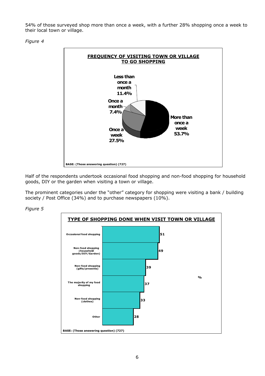54% of those surveyed shop more than once a week, with a further 28% shopping once a week to their local town or village.



*Figure 4*

Half of the respondents undertook occasional food shopping and non-food shopping for household goods, DIY or the garden when visiting a town or village.

The prominent categories under the "other" category for shopping were visiting a bank / building society / Post Office (34%) and to purchase newspapers (10%).

*Figure 5*



6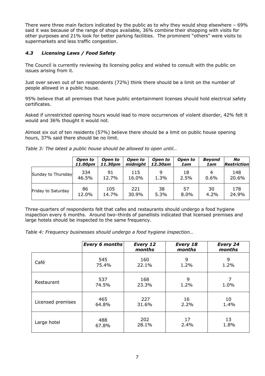There were three main factors indicated by the public as to why they would shop elsewhere – 69% said it was because of the range of shops available, 36% combine their shopping with visits for other purposes and 21% look for better parking facilities. The prominent "others" were visits to supermarkets and less traffic congestion.

#### *4.3 Licensing Laws / Food Safety*

The Council is currently reviewing its licensing policy and wished to consult with the public on issues arising from it.

Just over seven out of ten respondents (72%) think there should be a limit on the number of people allowed in a public house.

95% believe that all premises that have public entertainment licenses should hold electrical safety certificates.

Asked if unrestricted opening hours would lead to more occurrences of violent disorder, 42% felt it would and 36% thought it would not.

Almost six out of ten residents (57%) believe there should be a limit on public house opening hours, 37% said there should be no limit.

|  | Table 3: The latest a public house should be allowed to open until |  |  |
|--|--------------------------------------------------------------------|--|--|
|  |                                                                    |  |  |

|                    | Open to | Open to | Open to  | Open to | Open to | <b>Beyond</b> | No                 |
|--------------------|---------|---------|----------|---------|---------|---------------|--------------------|
|                    | 11.00pm | 11.30pm | midnight | 12.30am | 1am     | 1am           | <b>Restriction</b> |
| Sunday to Thursday | 334     | 91      | 115      | 9       | 18      | 4             | 148                |
|                    | 46.5%   | 12.7%   | 16.0%    | 1.3%    | 2.5%    | 0.6%          | 20.6%              |
| Friday to Saturday | 86      | 105     | 221      | 38      | 57      | 30            | 178                |
|                    | 12.0%   | 14.7%   | 30.9%    | 5.3%    | $8.0\%$ | 4.2%          | 24.9%              |

Three-quarters of respondents felt that cafes and restaurants should undergo a food hygiene inspection every 6 months. Around two–thirds of panellists indicated that licensed premises and large hotels should be inspected to the same frequency.

*Table 4: Frequency businesses should undergo a food hygiene inspection…* 

|                   | Every 6 months | Every 12<br>months | Every 18<br>months | <b>Every 24</b><br>months |
|-------------------|----------------|--------------------|--------------------|---------------------------|
| Café              | 545            | 160                | 9                  | 9                         |
|                   | 75.4%          | 22.1%              | 1.2%               | 1.2%                      |
| Restaurant        | 537            | 168                | 9                  | 7                         |
|                   | 74.5%          | 23.3%              | 1.2%               | 1.0%                      |
| Licensed premises | 465            | 227                | 16                 | 10                        |
|                   | 64.8%          | 31.6%              | 2.2%               | 1.4%                      |
| Large hotel       | 488            | 202                | 17                 | 13                        |
|                   | 67.8%          | 28.1%              | 2.4%               | 1.8%                      |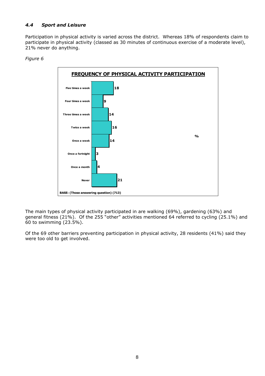#### *4.4 Sport and Leisure*

Participation in physical activity is varied across the district. Whereas 18% of respondents claim to participate in physical activity (classed as 30 minutes of continuous exercise of a moderate level), 21% never do anything.

#### *Figure 6*



The main types of physical activity participated in are walking (69%), gardening (63%) and general fitness (21%). Of the 255 "other" activities mentioned 64 referred to cycling (25.1%) and 60 to swimming (23.5%).

Of the 69 other barriers preventing participation in physical activity, 28 residents (41%) said they were too old to get involved.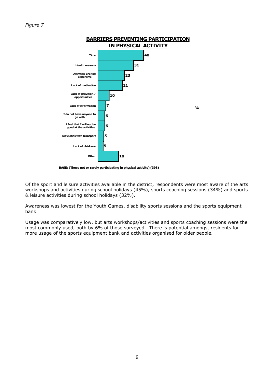

Of the sport and leisure activities available in the district, respondents were most aware of the arts workshops and activities during school holidays (45%), sports coaching sessions (34%) and sports & leisure activities during school holidays (32%).

Awareness was lowest for the Youth Games, disability sports sessions and the sports equipment bank.

Usage was comparatively low, but arts workshops/activities and sports coaching sessions were the most commonly used, both by 6% of those surveyed. There is potential amongst residents for more usage of the sports equipment bank and activities organised for older people.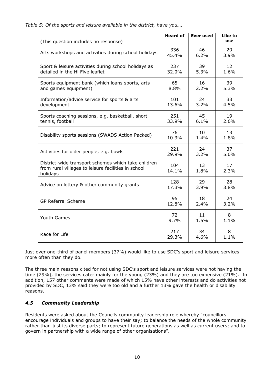| (This question includes no response)                                                                                   | <b>Heard of</b> | <b>Ever used</b> | Like to<br>use  |
|------------------------------------------------------------------------------------------------------------------------|-----------------|------------------|-----------------|
| Arts workshops and activities during school holidays                                                                   | 336             | 46               | 29              |
|                                                                                                                        | 45.4%           | 6.2%             | 3.9%            |
| Sport & leisure activities during school holidays as                                                                   | 237             | 39               | 12 <sup>2</sup> |
| detailed in the Hi Five leaflet                                                                                        | 32.0%           | 5.3%             | 1.6%            |
| Sports equipment bank (which loans sports, arts                                                                        | 65              | 16               | 39              |
| and games equipment)                                                                                                   | 8.8%            | 2.2%             | 5.3%            |
| Information/advice service for sports & arts                                                                           | 101             | 24               | 33              |
| development                                                                                                            | 13.6%           | 3.2%             | 4.5%            |
| Sports coaching sessions, e.g. basketball, short                                                                       | 251             | 45               | 19              |
| tennis, football                                                                                                       | 33.9%           | 6.1%             | 2.6%            |
| Disability sports sessions (SWADS Action Packed)                                                                       | 76              | 10               | 13              |
|                                                                                                                        | 10.3%           | 1.4%             | 1.8%            |
| Activities for older people, e.g. bowls                                                                                | 221             | 24               | 37              |
|                                                                                                                        | 29.9%           | 3.2%             | 5.0%            |
| District-wide transport schemes which take children<br>from rural villages to leisure facilities in school<br>holidays | 104<br>14.1%    | 13<br>1.8%       | 17<br>2.3%      |
| Advice on lottery & other community grants                                                                             | 128             | 29               | 28              |
|                                                                                                                        | 17.3%           | 3.9%             | 3.8%            |
| <b>GP Referral Scheme</b>                                                                                              | 95              | 18               | 24              |
|                                                                                                                        | 12.8%           | 2.4%             | 3.2%            |
| Youth Games                                                                                                            | 72              | 11               | 8               |
|                                                                                                                        | 9.7%            | 1.5%             | 1.1%            |
| Race for Life                                                                                                          | 217             | 34               | 8               |
|                                                                                                                        | 29.3%           | 4.6%             | 1.1%            |

*Table 5: Of the sports and leisure available in the district, have you….* 

Just over one-third of panel members (37%) would like to use SDC's sport and leisure services more often than they do.

The three main reasons cited for not using SDC's sport and leisure services were not having the time (29%), the services cater mainly for the young (23%) and they are too expensive (21%). In addition, 157 other comments were made of which 15% have other interests and do activities not provided by SDC, 13% said they were too old and a further 13% gave the health or disability reasons.

#### *4.5 Community Leadership*

Residents were asked about the Councils community leadership role whereby "councillors encourage individuals and groups to have their say; to balance the needs of the whole community rather than just its diverse parts; to represent future generations as well as current users; and to govern in partnership with a wide range of other organisations".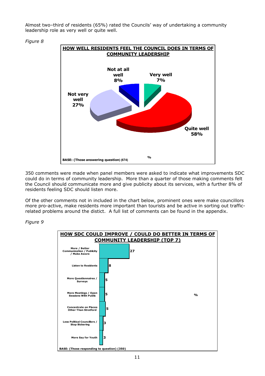Almost two–third of residents (65%) rated the Councils' way of undertaking a community leadership role as very well or quite well.



350 comments were made when panel members were asked to indicate what improvements SDC could do in terms of community leadership. More than a quarter of those making comments felt the Council should communicate more and give publicity about its services, with a further 8% of residents feeling SDC should listen more.

Of the other comments not in included in the chart below, prominent ones were make councillors more pro-active, make residents more important than tourists and be active in sorting out trafficrelated problems around the distict. A full list of comments can be found in the appendix.

#### *Figure 9*



#### *Figure 8*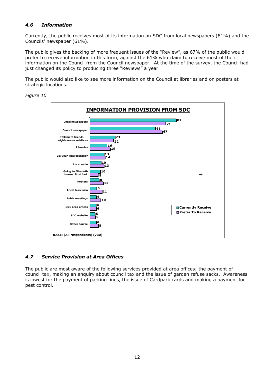#### *4.6 Information*

Currently, the public receives most of its information on SDC from local newspapers (81%) and the Councils' newspaper (61%).

The public gives the backing of more frequent issues of the "Review", as 67% of the public would prefer to receive information in this form, against the 61% who claim to receive most of their information on the Council from the Council newspaper. At the time of the survey, the Council had just changed its policy to producing three "Reviews" a year.

The public would also like to see more information on the Council at libraries and on posters at strategic locations.



*Figure 10*

#### *4.7 Service Provision at Area Offices*

The public are most aware of the following services provided at area offices; the payment of council tax, making an enquiry about council tax and the issue of garden refuse sacks. Awareness is lowest for the payment of parking fines, the issue of Cardpark cards and making a payment for pest control.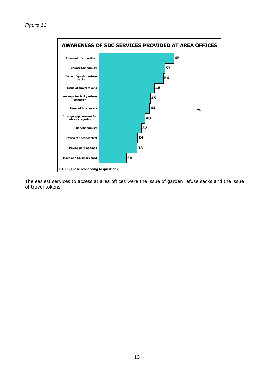

The easiest services to access at area offices were the issue of garden refuse sacks and the issue of travel tokens.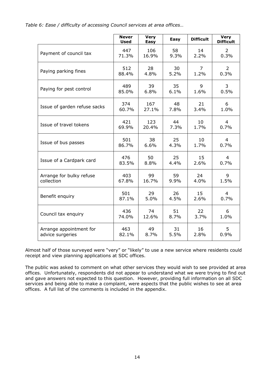*Table 6: Ease / difficulty of accessing Council services at area offices…* 

|                              | <b>Never</b><br><b>Used</b> | <b>Very</b><br><b>Easy</b> | Easy | <b>Difficult</b> | <b>Very</b><br><b>Difficult</b> |
|------------------------------|-----------------------------|----------------------------|------|------------------|---------------------------------|
| Payment of council tax       | 447                         | 106                        | 58   | 14               | 2                               |
|                              | 71.3%                       | 16.9%                      | 9.3% | 2.2%             | 0.3%                            |
| Paying parking fines         | 512                         | 28                         | 30   | $\overline{7}$   | $\overline{2}$                  |
|                              | 88.4%                       | 4.8%                       | 5.2% | 1.2%             | 0.3%                            |
| Paying for pest control      | 489                         | 39                         | 35   | 9                | 3                               |
|                              | 85.0%                       | 6.8%                       | 6.1% | 1.6%             | 0.5%                            |
| Issue of garden refuse sacks | 374                         | 167                        | 48   | 21               | 6                               |
|                              | 60.7%                       | 27.1%                      | 7.8% | 3.4%             | 1.0%                            |
| Issue of travel tokens       | 421                         | 123                        | 44   | 10               | 4                               |
|                              | 69.9%                       | 20.4%                      | 7.3% | 1.7%             | 0.7%                            |
| Issue of bus passes          | 501                         | 38                         | 25   | 10               | 4                               |
|                              | 86.7%                       | 6.6%                       | 4.3% | 1.7%             | 0.7%                            |
| Issue of a Cardpark card     | 476                         | 50                         | 25   | 15               | 4                               |
|                              | 83.5%                       | 8.8%                       | 4.4% | 2.6%             | 0.7%                            |
| Arrange for bulky refuse     | 403                         | 99                         | 59   | 24               | 9                               |
| collection                   | 67.8%                       | 16.7%                      | 9.9% | 4.0%             | 1.5%                            |
| Benefit enquiry              | 501                         | 29                         | 26   | 15               | 4                               |
|                              | 87.1%                       | 5.0%                       | 4.5% | 2.6%             | 0.7%                            |
| Council tax enquiry          | 436                         | 74                         | 51   | 22               | 6                               |
|                              | 74.0%                       | 12.6%                      | 8.7% | 3.7%             | 1.0%                            |
| Arrange appointment for      | 463                         | 49                         | 31   | 16               | 5                               |
| advice surgeries             | 82.1%                       | 8.7%                       | 5.5% | 2.8%             | 0.9%                            |

Almost half of those surveyed were "very" or "likely" to use a new service where residents could receipt and view planning applications at SDC offices.

The public was asked to comment on what other services they would wish to see provided at area offices. Unfortunately, respondents did not appear to understand what we were trying to find out and gave answers not expected to this question. However, providing full information on all SDC services and being able to make a complaint, were aspects that the public wishes to see at area offices. A full list of the comments is included in the appendix.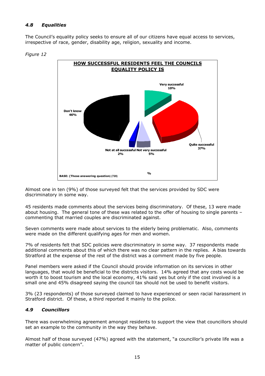#### *4.8 Equalities*

The Council's equality policy seeks to ensure all of our citizens have equal access to services, irrespective of race, gender, disability age, religion, sexuality and income.





Almost one in ten (9%) of those surveyed felt that the services provided by SDC were discriminatory in some way.

45 residents made comments about the services being discriminatory. Of these, 13 were made about housing. The general tone of these was related to the offer of housing to single parents – commenting that married couples are discriminated against.

Seven comments were made about services to the elderly being problematic. Also, comments were made on the different qualifying ages for men and women.

7% of residents felt that SDC policies were discriminatory in some way. 37 respondents made additional comments about this of which there was no clear pattern in the replies. A bias towards Stratford at the expense of the rest of the district was a comment made by five people.

Panel members were asked if the Council should provide information on its services in other languages, that would be beneficial to the districts visitors. 14% agreed that any costs would be worth it to boost tourism and the local economy, 41% said yes but only if the cost involved is a small one and 45% disagreed saying the council tax should not be used to benefit visitors.

3% (23 respondents) of those surveyed claimed to have experienced or seen racial harassment in Stratford district. Of these, a third reported it mainly to the police.

#### *4.9 Councillors*

There was overwhelming agreement amongst residents to support the view that councillors should set an example to the community in the way they behave.

Almost half of those surveyed (47%) agreed with the statement, "a councillor's private life was a matter of public concern".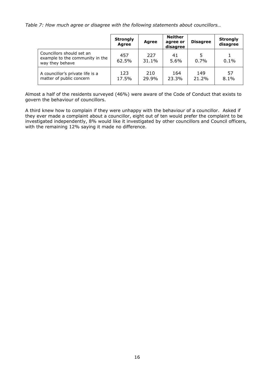*Table 7: How much agree or disagree with the following statements about councillors…* 

|                                                                                 | <b>Strongly</b><br><b>Agree</b> | <b>Agree</b> | <b>Neither</b><br>agree or<br>disagree | <b>Disagree</b> | <b>Strongly</b><br>disagree |
|---------------------------------------------------------------------------------|---------------------------------|--------------|----------------------------------------|-----------------|-----------------------------|
| Councillors should set an<br>example to the community in the<br>way they behave | 457<br>62.5%                    | 227<br>31.1% | 41<br>5.6%                             | 0.7%            | 0.1%                        |
| A councillor's private life is a<br>matter of public concern                    | 123<br>17.5%                    | 210<br>29.9% | 164<br>23.3%                           | 149<br>21.2%    | 57<br>8.1%                  |

Almost a half of the residents surveyed (46%) were aware of the Code of Conduct that exists to govern the behaviour of councillors.

A third knew how to complain if they were unhappy with the behaviour of a councillor. Asked if they ever made a complaint about a councillor, eight out of ten would prefer the complaint to be investigated independently, 8% would like it investigated by other councillors and Council officers, with the remaining 12% saying it made no difference.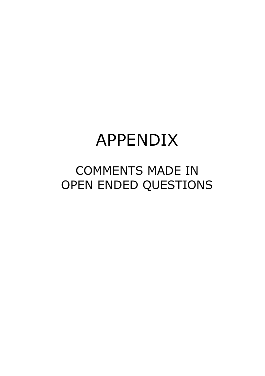# COMMENTS MADE IN OPEN ENDED QUESTIONS

# APPENDIX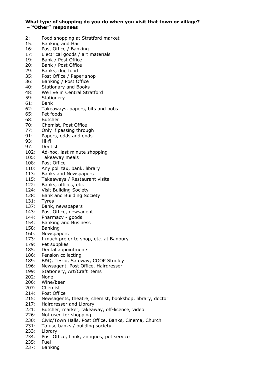#### **What type of shopping do you do when you visit that town or village? – "Other" responses**

- 2: Food shopping at Stratford market
- 15: Banking and Hair
- 16: Post Office / Banking
- 17: Electrical goods / art materials
- 19: Bank / Post Office
- 20: Bank / Post Office
- 29: Banks, dog food
- 35: Post Office / Paper shop
- 36: Banking / Post Office
- 40: Stationary and Books
- 48: We live in Central Stratford
- 59: Stationery
- 61: Bank
- 62: Takeaways, papers, bits and bobs
- 65: Pet foods
- 68: Butcher
- 70: Chemist, Post Office
- 77: Only if passing through
- 91: Papers, odds and ends
- 93: Hi-fi
- 97: Dentist
- 102: Ad-hoc, last minute shopping
- 105: Takeaway meals
- 108: Post Office
- 110: Any poll tax, bank, library
- 113: Banks and Newspapers
- 115: Takeaways / Restaurant visits
- 122: Banks, offices, etc.
- 124: Visit Building Society
- 128: Bank and Building Society
- 131: Tyres
- 137: Bank, newspapers
- 143: Post Office, newsagent
- 144: Pharmacy goods
- 154: Banking and Business
- 158: Banking
- 160: Newspapers
- 173: I much prefer to shop, etc. at Banbury
- 179: Pet supplies
- 185: Dental appointments
- 186: Pension collecting
- 189: B&Q, Tesco, Safeway, COOP Studley
- 196: Newsagent, Post Office, Hairdresser
- 199: Stationery, Art/Craft items
- 202: None
- 206: Wine/beer
- 207: Chemist
- 214: Post Office
- 215: Newsagents, theatre, chemist, bookshop, library, doctor
- 217: Hairdresser and Library
- 221: Butcher, market, takeaway, off-licence, video
- 226: Not used for shopping
- 230: Civic/Town Halls, Post Office, Banks, Cinema, Church
- 231: To use banks / building society
- 233: Library<br>234: Post Of
- Post Office, bank, antiques, pet service
- 235: Fuel
- 237: Banking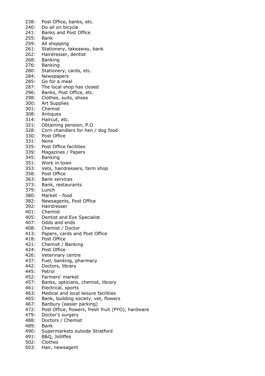238: Post Office, banks, etc. 240: Do all on bicycle 241: Banks and Post Office 255: Bank 259: All shopping 261: Stationery, takeaway, bank 262: Hairdresser, dentist 268: Banking 276: Banking 280: Stationery, cards, etc. 284: Newspapers 285: Go for a meal 287: The local shop has closed 296: Banks, Post Office, etc. 298: Clothes, suits, shoes 300: Art Supplies 301: Chemist 308: Antiques 314: Haircut, etc. 321: Obtaining pension, P.O 328: Corn chandlers for hen / dog food 330: Post Office 331: None 335: Post Office facilities 339: Magazines / Papers 345: Banking 351: Work in town 353: Vets, hairdressers, farm shop 358: Post Office 363: Bank services 373: Bank, restaurants 379: Lunch 380: Market - food 382: Newsagents, Post Office 392: Hairdresser 401: Chemist 405: Dentist and Eye Specialist 407: Odds and ends 408: Chemist / Doctor<br>413: Papers, cards and Papers, cards and Post Office 418: Post Office 421: Chemist / Banking 424: Post Office 426: Veterinary centre 437: Fuel, banking, pharmacy 442: Doctors, library 445: Petrol 452: Farmers' market 457: Banks, opticians, chemist, library 461: Electrical, sports 463: Medical and local leisure facilities 465: Bank, building society, vet, flowers 467: Banbury (easier parking) 472: Post Office, flowers, fresh fruit (PYO), hardware 479: Doctor's surgery 488: Doctors / Chemist 489: Bank 490: Supermarkets outside Stratford 491: B&Q, Jolliffes

- 502: Clothes
- 503: Hair, newsagent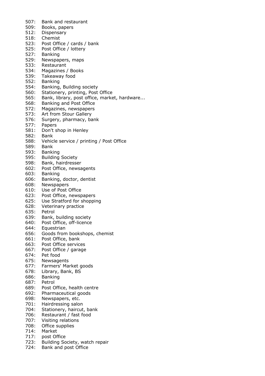507: Bank and restaurant 509: Books, papers 512: Dispensary 518: Chemist 523: Post Office / cards / bank 525: Post Office / lottery 527: Banking 529: Newspapers, maps 533: Restaurant 534: Magazines / Books 539: Takeaway food 552: Banking 554: Banking, Building society 560: Stationery, printing, Post Office 565: Bank, library, post office, market, hardware... 568: Banking and Post Office 572: Magazines, newspapers 573: Art from Stour Gallery 576: Surgery, pharmacy, bank 577: Papers 581: Don't shop in Henley 582: Bank 588: Vehicle service / printing / Post Office 589: Bank 593: Banking 595: Building Society 598: Bank, hairdresser 602: Post Office, newsagents 603: Banking 606: Banking, doctor, dentist 608: Newspapers 610: Use of Post Office 623: Post Office, newspapers 625: Use Stratford for shopping 628: Veterinary practice 635: Petrol 639: Bank, building society 640: Post Office, off-licence 644: Equestrian 656: Goods from bookshops, chemist 661: Post Office, bank 663: Post Office services 667: Post Office / garage 674: Pet food 675: Newsagents 677: Farmers' Market goods 678: Library, Bank, BS 686: Banking 687: Petrol 689: Post Office, health centre 692: Pharmaceutical goods 698: Newspapers, etc. 701: Hairdressing salon 704: Stationery, haircut, bank 706: Restaurant / fast food 707: Visiting relations 708: Office supplies 714: Market 717: post Office 723: Building Society, watch repair 724: Bank and post Office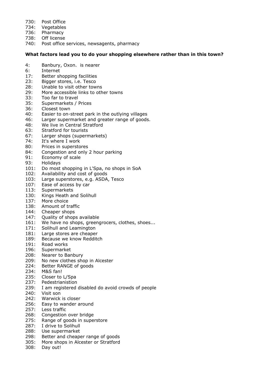- 730: Post Office
- 734: Vegetables
- 736: Pharmacy
- 738: Off license
- 740: Post office services, newsagents, pharmacy

#### **What factors lead you to do your shopping elsewhere rather than in this town?**

- 4: Banbury, Oxon. is nearer
- 6: Internet
- 17: Better shopping facilities
- 23: Bigger stores, i.e. Tesco
- 28: Unable to visit other towns
- 29: More accessible links to other towns
- 33: Too far to travel
- 35: Supermarkets / Prices
- 36: Closest town
- 40: Easier to on-street park in the outlying villages
- 46: Larger supermarket and greater range of goods.
- 48: We live in Central Stratford
- 63: Stratford for tourists
- 67: Larger shops (supermarkets)
- 74: It's where I work
- 80: Prices in superstores
- 84: Congestion and only 2 hour parking
- 91: Economy of scale
- 93: Holidays
- 101: Do most shopping in L'Spa, no shops in SoA
- 102: Availability and cost of goods
- 103: Large superstores, e.g. ASDA, Tesco
- 107: Ease of access by car
- 113: Supermarkets
- 130: Kings Heath and Solihull
- 137: More choice
- 138: Amount of traffic
- 144: Cheaper shops
- 147: Quality of shops available
- 161: We have no shops, greengrocers, clothes, shoes...
- 171: Solihull and Leamington
- 181: Large stores are cheaper
- 189: Because we know Redditch
- 191: Road works
- 196: Supermarket
- 208: Nearer to Banbury
- 209: No new clothes shop in Alcester
- 224: Better RANGE of goods
- 234: M&S fan!
- 235: Closer to L/Spa
- 237: Pedestrianistion
- 239: I am registered disabled do avoid crowds of people
- 240: Visit son
- 242: Warwick is closer
- 256: Easy to wander around
- 257: Less traffic
- 268: Congestion over bridge
- 275: Range of goods in superstore
- 287: I drive to Solihull
- 288: Use supermarket
- 298: Better and cheaper range of goods
- 305: More shops in Alcester or Stratford
- 308: Day out!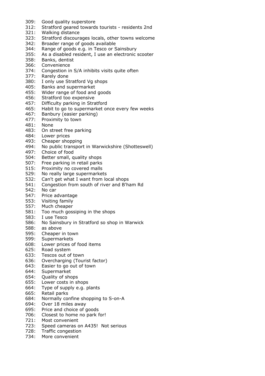- 309: Good quality superstore
- 312: Stratford geared towards tourists residents 2nd
- 321: Walking distance
- 323: Stratford discourages locals, other towns welcome
- 342: Broader range of goods available
- 344: Range of goods e.g. in Tesco or Sainsbury
- 355: As a disabled resident, I use an electronic scooter
- 358: Banks, dentist
- 366: Convenience
- 374: Congestion in S/A inhibits visits quite often
- 377: Rarely done
- 380: I only use Stratford Vg shops
- 405: Banks and supermarket
- 455: Wider range of food and goods
- 456: Stratford too expensive
- 457: Difficulty parking in Stratford
- 465: Habit to go to supermarket once every few weeks
- 467: Banbury (easier parking)
- 477: Proximity to town
- 481: None
- 483: On street free parking
- 484: Lower prices
- 493: Cheaper shopping
- 494: No public transport in Warwickshire (Shotteswell)
- 497: Choice of food
- 504: Better small, quality shops
- 507: Free parking in retail parks
- 515: Proximity no covered malls
- 529: No really large supermarkets
- 532: Can't get what I want from local shops
- 541: Congestion from south of river and B'ham Rd
- 542: No car
- 547: Price advantage
- 553: Visiting family
- 557: Much cheaper
- 581: Too much gossiping in the shops
- 583: I use Tesco
- 586: No Sainsbury in Stratford so shop in Warwick
- 588: as above
- 595: Cheaper in town
- 599: Supermarkets
- 608: Lower prices of food items
- 625: Road system
- 633: Tescos out of town
- 636: Overcharging (Tourist factor)
- 643: Easier to go out of town
- 644: Supermarket
- 654: Quality of shops
- 655: Lower costs in shops
- 664: Type of supply e.g. plants
- 665: Retail parks
- 684: Normally confine shopping to S-on-A
- 694: Over 18 miles away
- 695: Price and choice of goods
- 706: Closest to home no park for!
- 721: Most convenient
- 723: Speed cameras on A435! Not serious
- 728: Traffic congestion
- 734: More convenient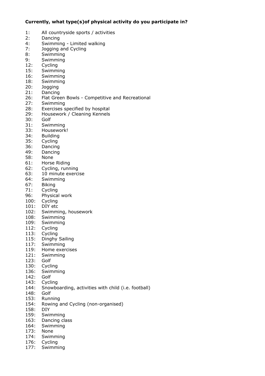#### **Currently, what type(s)of physical activity do you participate in?**

- 1: All countryside sports / activities 2: Dancing 4: Swimming - Limited walking 7: Jogging and Cycling 8: Swimming 9: Swimming 12: Cycling 15: Swimming 16: Swimming 18: Swimming 20: Jogging 21: Dancing 26: Flat Green Bowls - Competitive and Recreational 27: Swimming 28: Exercises specified by hospital 29: Housework / Cleaning Kennels 30: Golf 31: Swimming 33: Housework! 34: Building 35: Cycling 36: Dancing 49: Dancing 58: None 61: Horse Riding 62: Cycling, running 63: 10 minute exercise 64: Swimming 67: Biking 71: Cycling 96: Physical work 100: Cycling 101: DIY etc
- 102: Swimming, housework
- 108: Swimming
- 109: Swimming
- 112: Cycling
- 113: Cycling
- 115: Dinghy Sailing
- 117: Swimming
- 119: Home exercises
- 121: Swimming
- 123: Golf
- 130: Cycling
- 136: Swimming
- 142: Golf
- 143: Cycling
- 144: Snowboarding, activities with child (i.e. football)
- 148: Golf
- 153: Running
- 154: Rowing and Cycling (non-organised)
- 158: DIY
- 159: Swimming
- 163: Dancing class
- 164: Swimming
- 173: None
- 174: Swimming
- 176: Cycling
- 177: Swimming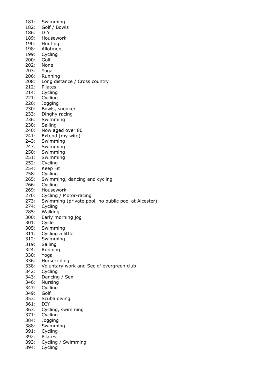181: Swimming 182: Golf / Bowls 186: DIY 189: Housework 190: Hunting 198: Allotment 199: Cycling 200: Golf 202: None 203: Yoga 206: Running 208: Long distance / Cross country 212: Pilates 214: Cycling 221: Cycling 226: Jogging 230: Bowls, snooker 233: Dinghy racing 236: Swimming 238: Sailing 240: Now aged over 80 241: Extend (my wife) 243: Swimming 247: Swimming 250: Swimming 251: Swimming 252: Cycling 254: Keep Fit 258: Cycling 265: Swimming, dancing and cycling 266: Cycling 269: Housework 270: Cycling / Motor-racing 273: Swimming (private pool, no public pool at Alcester) 274: Cycling 285: Walking 300: Early morning jog 301: Cycle 305: Swimming 311: Cycling a little 312: Swimming 319: Sailing 324: Running 330: Yoga 336: Horse-riding 338: Voluntary work and Sec of evergreen club 342: Cycling 343: Dancing / Sex 346: Nursing 347: Cycling 349: Golf 353: Scuba diving 361: DIY 363: Cycling, swimming 371: Cycling 384: Jogging 388: Swimming 391: Cycling 392: Pilates 393: Cycling / Swimming 394: Cycling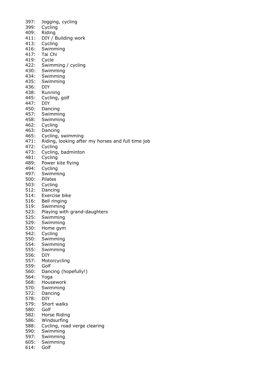397: Jogging, cycling 399: Cycling 409: Riding 411: DIY / Building work 413: Cycling 416: Swimming 417: Tai Chi 419: Cycle 422: Swimming / cycling 430: Swimming 434: Swimming 435: Swimming 436: DIY 438: Running 445: Cycling, golf 447: DIY 450: Dancing 457: Swimming 458: Swimming 462: Cycling 463: Dancing 465: Cycling, swimming 471: Riding, looking after my horses and full time job 472: Cycling 473: Cycling, badminton 481: Cycling 489: Power kite flying 494: Cycling 497: Swimming 500: Pilates 503: Cycling 512: Dancing 514: Exercise bike 516: Bell ringing 519: Swimming 523: Playing with grand-daughters 525: Swimming 529: Swimming 530: Home gym 542: Cycling 550: Swimming 554: Swimming 555: Swimming 556: DIY 557: Motorcycling 559: Golf 560: Dancing (hopefully!) 564: Yoga 568: Housework 570: Swimming 572: Dancing 578: DIY 579: Short walks 580: Golf 582: Horse Riding 586: Windsurfing 588: Cycling, road verge clearing 590: Swimming 597: Swimming 605: Swimming 614: Golf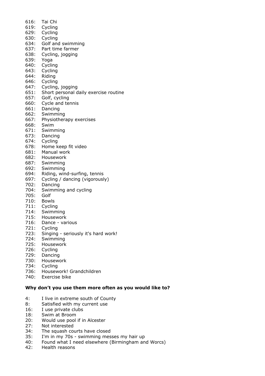- 616: Tai Chi 619: Cycling 629: Cycling 630: Cycling 634: Golf and swimming 637: Part time farmer 638: Cycling, jogging 639: Yoga 640: Cycling 643: Cycling 644: Riding 646: Cycling 647: Cycling, jogging 651: Short personal daily exercise routine 657: Golf, cycling 660: Cycle and tennis 661: Dancing 662: Swimming 667: Physiotherapy exercises 668: Swim 671: Swimming 673: Dancing 674: Cycling 678: Home keep fit video 681: Manual work 682: Housework 687: Swimming 692: Swimming 694: Riding, wind-surfing, tennis 697: Cycling / dancing (vigorously) 702: Dancing
- 704: Swimming and cycling
- 705: Golf
- 710: Bowls
- 711: Cycling
- 714: Swimming
- 715: Housework
- 716: Dance various
- 
- 721: Cycling<br>723: Singing Singing - seriously it's hard work!
- 724: Swimming
- 725: Housework
- 726: Cycling
- 729: Dancing
- 730: Housework
- 734: Cycling
- 736: Housework! Grandchildren
- 740: Exercise bike

#### **Why don't you use them more often as you would like to?**

- 4: I live in extreme south of County
- 8: Satisfied with my current use
- 16: I use private clubs
- 18: Swim at Broom
- 20: Would use pool if in Alcester
- 27: Not interested
- 34: The squash courts have closed
- 35: I'm in my 70s swimming messes my hair up
- 40: Found what I need elsewhere (Birmingham and Worcs)
- 42: Health reasons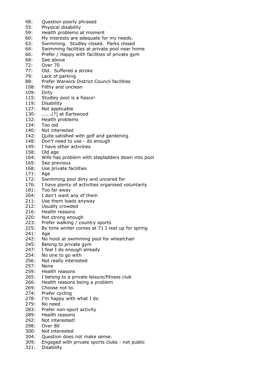- 48: Question poorly phrased<br>55: Physical disability
- Physical disability
- 59: Health problems at moment
- 60: My interests are adequate for my needs.
- 63: Swimming. Studley closed. Parks closed
- 64: Swimming facilities at private pool near home
- 66: Prefer / Happy with facilities of private gym
- 68: See above
- 72: Over 70
- 77: Old. Suffered a stroke
- 79: Lack of parking
- 88: Prefer Warwick District Council facilities
- 108: Filthy and unclean
- 109: Dirty
- 115: Studley pool is a fiasco!<br>119: Disability
- Disability
- 127: Not applicable
- 130: ......(?) at Earlswood
- 132: Health problems
- 134: Too old
- 140: Not interested
- 142: Quite satisfied with golf and gardening
- 148: Don't need to use do enough
- 149: I have other activities
- 158: Old age
- 164: Wife has problem with stepladders down into pool
- 165: See previous
- 168: Use private facilities
- 171: Age
- 172: Swimming pool dirty and uncared for
- 176: I have plenty of activities organised voluntarily
- 181: Too far away
- 204: I don't want any of them
- 211: Use them loads anyway
- 212: Usually crowded
- 216: Health reasons
- 220: Not strong enough
- 223: Prefer walking / country sports
- 225: By time winter comes at 71 I rest up for spring
- 241: Age
- 242: No hoist at swimming pool for wheelchair
- 245: Belong to private gym
- 247: I feel I do enough already
- 254: No one to go with
- 256: Not really interested
- 257: None
- 259: Health reasons
- 265: I belong to a private leisure/fitness club
- 266: Health reasons being a problem
- 269: Choose not to.
- 274: Prefer cycling
- 278: I'm happy with what I do
- 279: No need
- 283: Prefer non-sport activity
- 289: Health reasons
- 292: Not interested!
- 298: Over 80
- 300: Not interested
- 304: Question does not make sense.
- 309: Engaged with private sports clubs not public
- 321: Disability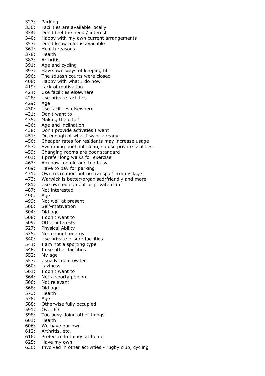- 323: Parking
- 330: Facilities are available locally
- 334: Don't feel the need / interest
- 340: Happy with my own current arrangements
- 353: Don't know a lot is available
- 361: Health reasons
- 378: Health
- 383: Arthritis
- 391: Age and cycling
- 393: Have own ways of keeping fit
- 396: The squash courts were closed
- 408: Happy with what I do now
- 419: Lack of motivation
- 424: Use facilities elsewhere
- 428: Use private facilities
- 429: Age
- 430: Use facilities elsewhere
- 431: Don't want to
- 435: Making the effort
- 436: Age and inclination
- 438: Don't provide activities I want
- 451: Do enough of what I want already
- 456: Cheaper rates for residents may increase usage
- 457: Swimming pool not clean, so use private facilities
- 459: Changing rooms are poor standard
- 461: I prefer long walks for exercise
- 467: Am now too old and too busy
- 469: Have to pay for parking
- 471: Own recreation but no transport from village.
- 473: Warwick is better/organised/friendly and more
- 481: Use own equipment or private club
- 487: Not interested
- 490: Age
- 499: Not well at present
- 500: Self-motivation
- 504: Old age
- 508: I don't want to
- 
- 509: Other interests<br>527: Physical Ability Physical Ability
- 535: Not enough energy
- 540: Use private leisure facilities
- 544: I am not a sporting type
- 548: I use other facilities
- 552: My age
- 557: Usually too crowded
- 560: Laziness
- 561: I don't want to
- 564: Not a sporty person
- 566: Not relevant
- 568: Old age
- 573: Health
- 578: Age
- 588: Otherwise fully occupied
- 591: Over 63
- 598: Too busy doing other things
- 601: Health
- 606: We have our own
- 612: Arthritis, etc.
- 616: Prefer to do things at home
- 625: Have my own
- 630: Involved in other activities rugby club, cycling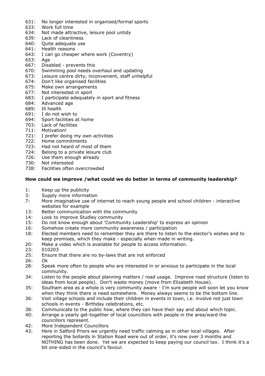- 631: No longer interested in organised/formal sports
- 633: Work full time
- 634: Not made attractive, leisure pool untidy
- 639: Lack of cleanliness
- 640: Quite adequate use
- 641: Health reasons
- 643: I can go cheaper where work (Coventry)
- 653: Age
- 667: Disabled prevents this
- 670: Swimming pool needs overhaul and updating
- 673: Leisure centre dirty, inconvenient, staff unhelpful
- 674: Don't like organised facilities
- 675: Make own arrangements
- 677: Not interested in sport
- 683: I participate adequately in sport and fitness 684: Advanced age
- Advanced age
- 689: Ill health
- 691: I do not wish to
- 694: Sport facilities at home
- 703: Lack of facilities
- 711: Motivation!
- 721: I prefer doing my own activities
- 722: Home commitments
- 723: Had not heard of most of them
- 724: Belong to a private leisure club
- 726: Use them enough already
- 730: Not interested
- 738: Facilities often overcrowded

#### **How could we improve /what could we do better in terms of community leadership?**

- 1: Keep up the publicity
- 3: Supply more information
- 7: More imaginative use of internet to reach young people and school children interactive websites for example
- 13: Better communication with the community
- 14: Look to improve Studley community
- 15: Do not know enough about 'Community Leadership' to express an opinion
- 16: Somehow create more community awareness / participation
- 18: Elected members need to remember they are there to listen to the elector's wishes and to keep promises, which they make - especially when made in writing.
- 20: Make a video which is available for people to access information.
- 23: 010203
- 25: Ensure that there are no by-laws that are not enforced
- 26: Ok
- 28: Speak more often to people who are interested in or anxious to participate in the local community.
- 34: Listen to the people about planning matters / road usage. Improve road structure (listen to ideas from local people). Don't waste money (move from Elizabeth House).
- 35: Southam area as a whole is very community aware I'm sure people will soon let you know when they think there is need somewhere. Money always seems to be the bottom line.
- 36: Visit village schools and include their children in events in town, i.e. involve not just town schools in events - Birthday celebrations, etc.
- 38: Communicate to the public how, where they can have their say and about which topic.
- 40: Arrange a yearly get-together of local councillors with people in the area/ward the councillors represent.
- 42: More Independent Councillors
- 43: Here in Salford Priors we urgently need traffic calming as in other local villages. After reporting the bollards in Station Road were out of order, it's now over 3 months and NOTHING has been done. Yet we are expected to keep paying our council tax. I think it's a bit one-sided in the council's favour.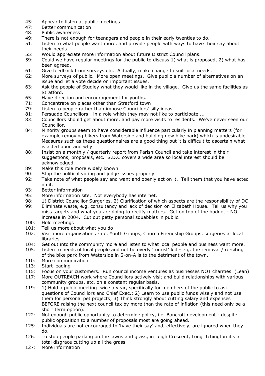- 45: Appear to listen at public meetings<br>47: Better communication
- Better communication
- 48: Public awareness
- 49: There is not enough for teenagers and people in their early twenties to do.
- 51: Listen to what people want more, and provide people with ways to have their say about their needs.
- 55: Would appreciate more information about future District Council plans.
- 59: Could we have regular meetings for the public to discuss 1) what is proposed, 2) what has been agreed.
- 61: Give feedback from surveys etc. Actually, make change to suit local needs.
- 62: More surveys of public. More open meetings. Give public a number of alternatives on an issue and let a vote decide on important issues.
- 63: Ask the people of Studley what they would like in the village. Give us the same facilities as Stratford.
- 65: Have direction and encouragement for youths.
- 71: Concentrate on places other than Stratford town
- 79: Listen to people rather than impose Councillors' silly ideas
- 81: Persuade Councillors in a role which they may not like to participate....
- 83: Councillors should get about more, and pay more visits to residents. We've never seen our Councillor.
- 84: Minority groups seem to have considerable influence particularly in planning matters (for example removing bikers from Waterside and building new bike park) which is undesirable. Measures such as these questionnaires are a good thing but it is difficult to ascertain what is acted upon and why.
- 88: Insist on a monthly / quarterly report from Parish Council and take interest in their suggestions, proposals, etc. S.D.C covers a wide area so local interest should be acknowledged.
- 89: Make this role more widely known
- 90: Stop the political voting and judge issues properly
- 92: Take note of what people say and want and openly act on it. Tell them that you have acted on it.
- 93: Better information
- 95: More information site. Not everybody has internet.
- 98: 1) District Councillor Surgeries, 2) Clarification of which aspects are the responsibility of DC
- 99: Eliminate waste, e.g. consultancy and lack of decision on Elizabeth House. Tell us why you miss targets and what you are doing to rectify matters. Get on top of the budget - NO increase in 2004. Cut out petty personal squabbles in public.
- 100: Hold meetings
- 101: Tell us more about what you do
- 102: Visit more organisations i.e. Youth Groups, Church Friendship Groups, surgeries at local libraries
- 104: Get out into the community more and listen to what local people and business want more.
- 105: Listen to needs of local people and not be overly 'tourist' led e.g. the removal / re-siting of the bike park from Waterside in S-on-A is to the detriment of the town.
- 110: More communication
- 113: Start leading
- 115: Focus on your customers. Run council income ventures as businesses NOT charities. (Lean)
- 117: More OUTREACH work where Councillors actively visit and build relationships with various community groups, etc. on a constant regular basis.
- 119: 1) Hold a public meeting twice a year, specifically for members of the public to ask questions of Councillors and Chief Exec.; 2) Learn to use public funds wisely and not use them for personal pet projects; 3) Think strongly about cutting salary and expenses BEFORE raising the next council tax by more than the rate of inflation (this need only be a short term option).
- 122: Not enough public opportunity to determine policy, i.e. Bancroft development despite public opposition to a number of proposals most are going ahead.
- 125: Individuals are not encouraged to 'have their say' and, effectively, are ignored when they do.
- 126: To stop people parking on the lawns and grass, in Leigh Crescent, Long Itchington it's a total disgrace cutting up all the grass
- 127: More information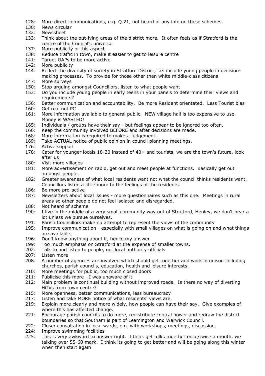- 128: More direct communications, e.g. Q.21, not heard of any info on these schemes.
- 130: News circular
- 132: Newssheet
- 133: Think about the out-lying areas of the district more. It often feels as if Stratford is the centre of the Council's universe
- 137: More publicity of this aspect
- 138: Reduce traffic in town, make it easier to get to leisure centre
- 141: Target OAPs to be more active
- 142: More publicity
- 144: Reflect the diversity of society in Stratford District, i.e. include young people in decisionmaking processes. To provide for those other than white middle-class citizens
- 147: More surveys
- 150: Stop arguing amongst Councillors, listen to what people want
- 153: Do you include young people in early teens in your panels to determine their views and requirements?
- 156: Better communication and accountability. Be more Resident orientated. Less Tourist bias 160: Get real not PC
- 161: More information available to general public. NEW village hall is too expensive to use. Money is WASTED!
- 165: Individuals / groups have their say but feelings appear to be ignored too often.
- 166: Keep the community involved BEFORE and after decisions are made.
- 168: More information is required to make a judgement.
- 169: Take ACTUAL notice of public opinion in council planning meetings.
- 176: Active support
- 178: Cater for younger locals 18-30 instead of 40+ and tourists, we are the town's future, look after us
- 180: Visit more villages
- 181: More advertisement on radio, get out and meet people at functions. Basically get out amongst people.
- 182: Greater awareness of what local residents want not what the council thinks residents want. Councillors listen a little more to the feelings of the residents.
- 186: Be more pro-active
- 187: Newsletters about local issues more questionnaires such as this one. Meetings in rural areas so other people do not feel isolated and disregarded.
- 188: Not heard of scheme
- 190: I live in the middle of a very small community way out of Stratford, Henley, we don't hear a lot unless we pursue ourselves.
- 191: Parish Councillors make no attempt to represent the views of the community
- 195: Improve communication especially with small villages on what is going on and what things are available.
- 196: Don't know anything about it, hence my answer
- 199: Too much emphasis on Stratford at the expense of smaller towns.
- 202: Talk to and listen to people, not local authority officials
- 207: Listen more
- 208: A number of agencies are involved which should get together and work in unison including churches, parish councils, education, health and leisure interests.
- 210: More meetings for public, too much closed doors
- 211: Publicise this more I was unaware of it
- 212: Main problem is continual building without improved roads. Is there no way of diverting HGVs from town centre?
- 215: More openness, better communications, less bureaucracy
- 217: Listen and take MORE notice of what residents' views are.
- 219: Explain more clearly and more widely, how people can have their say. Give examples of where this has affected change.
- 221: Encourage parish councils to do more, redistribute central power and redraw the district boundaries so that Southam is part of Leamington and Warwick Council.
- 222: Closer consultation in local wards, e.g. with workshops, meetings, discussion.
- 224: Improve swimming facilities
- 225: This is very awkward to answer right. I think get folks together once/twice a month, we talking over 55-60 mark. I think its going to get better and will be going along this winter when then start again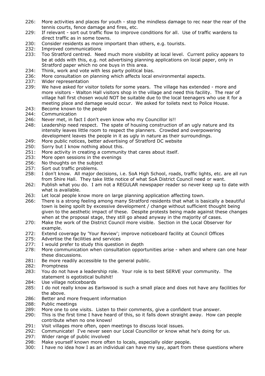- 226: More activities and places for youth stop the mindless damage to rec near the rear of the tennis courts, fence damage and fires, etc.
- 229: If relevant sort out traffic flow to improve conditions for all. Use of traffic wardens to direct traffic as in some towns.
- 230: Consider residents as more important than others, e.g. tourists.
- 232: Improved communications
- 233: Too Stratford centred. Need much more visibility at local level. Current policy appears to be at odds with this, e.g. not advertising planning applications on local paper, only in Stratford paper which no one buys in this area.
- 234: Think, work and vote with less party political bias.
- 236: More consultation on planning which affects local environmental aspects.
- 237: Wider representation
- 239: We have asked for visitor toilets for some years. The village has extended more and more visitors - Walton Hall visitors shop in the village and need this facility. The rear of village hall first chosen would NOT be suitable due to the local teenagers who use it for a meeting place and damage would occur. We asked for toilets next to Police House.
- 243: Become known to the people
- 244: Communication
- 246: Never met, in fact I don't even know who my Councillor is!!
- 248: Leadership need respect. The spate of housing construction of an ugly nature and its intensity leaves little room to respect the planners. Crowded and overpowering development leaves the people in it as ugly in nature as their surroundings.
- 249: More public notices, better advertising of Stratford DC website
- 250: Sorry but I know nothing about this.
- 251: More activity in creating a community that cares about itself.
- 253: More open sessions in the evenings
- 256: No thoughts on the subject
- 257: Sort out traffic problems.
- 258: I don't know. All major decisions, i.e. SoA High School, roads, traffic lights, etc. are all run from Shire Hall. They take little notice of what SoA District Council need or want.
- 262: Publish what you do. I am not a REGULAR newspaper reader so never keep up to date with what is available.
- 263: Let local people know more on large planning application affecting town.
- 266: There is a strong feeling among many Stratford residents that what is basically a beautiful town is being spoilt by excessive development / change without sufficient thought being given to the aesthetic impact of these. Despite protests being made against these changes when at the proposal stage, they still go ahead anyway in the majority of cases.
- 270: Make the work of the District Council more visible. Section in the Local Observer for example.
- 272: Extend coverage by 'Your Review'; improve noticeboard facility at Council Offices
- 275: Advertise the facilities and services
- 277: I would prefer to study this question in depth
- 278: More communication when consultation opportunities arise when and where can one hear these discussions.
- 281: Be more readily accessible to the general public.
- 282: Promptness
- 283: You do not have a leadership role. Your role is to best SERVE your community. The statement is egotistical bullshit!
- 284: Use village noticeboards
- 285: I do not really know as Earlswood is such a small place and does not have any facilities for the above.
- 286: Better and more frequent information
- 288: Public meetings
- 289: More one to one visits. Listen to their comments, give a confident true answer.
- 290: This is the first time I have heard of this, so it falls down straight away. How can people contribute when no one knows!
- 291: Visit villages more often, open meetings to discuss local issues.
- 292: Communicate! I've never seen our Local Councillor or know what he's doing for us.
- 297: Wider range of public involved
- 298: Make yourself known more often to locals, especially older people.
- 300: I have no idea how I as an individual can have my say, apart from these questions where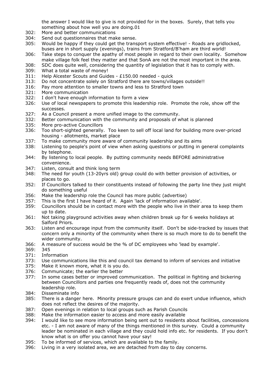the answer I would like to give is not provided for in the boxes. Surely, that tells you something about how well you are doing.01

- 302: More and better communications
- 304: Send out questionnaires that make sense.
- 305: Would be happy if they could get the transport system effective! Roads are gridlocked, buses are in short supply (evenings), trains from Stratford/B'ham are third world!
- 306: Take steps to conquer the apathy of most people in regard to their own locality. Somehow make village folk feel they matter and that SonA are not the most important in the area.
- 308: SDC does quite well, considering the quantity of legislation that it has to comply with.
- 309: What a total waste of money!
- 311: Help Alcester Scouts and Guides £150.00 needed quick
- 313: Do not concentrate solely on Stratford there are towns/villages outside!!
- 316: Pay more attention to smaller towns and less to Stratford town
- 321: More communication
- 322: I don't have enough information to form a view
- 326: Use of local newspapers to promote this leadership role. Promote the role, show off the successes.
- 327: As a Council present a more unified image to the community.
- 332: Better communication with the community and proposals of what is planned
- 335: More pro-active Councillors
- 336: Too short-sighted generally. Too keen to sell off local land for building more over-priced housing - allotments, market place
- 337: To make community more aware of community leadership and its aims
- 338: Listening to people's point of view when asking questions or putting in general complaints by telephone.
- 344: By listening to local people. By putting community needs BEFORE administrative convenience.
- 347: Listen, consult and think long term
- 348: The need for youth (13-20yrs old) group could do with better provision of activities, or places to go.
- 352: If Councillors talked to their constituents instead of following the party line they just might do something useful
- 356: Make the leadership role the Council has more public (advertise)
- 357: This is the first I have heard of it. Again 'lack of information available'.
- 359: Councillors should be in contact more with the people who live in their area to keep them up to date.
- 361: Not taking playground activities away when children break up for 6 weeks holidays at Salford Priors.
- 363: Listen and encourage input from the community itself. Don't be side-tracked by issues that concern only a minority of the community when there is so much more to do to benefit the wider community.
- 366: A measure of success would be the % of DC employees who 'lead by example'.
- 369: 345
- 371: Information
- 373: Use communications like this and council tax demand to inform of services and initiative
- 375: Make it known more, what it is you do.
- 376: Communicate; the earlier the better
- 377: In some cases better or improved communication. The political in fighting and bickering between Councillors and parties one frequently reads of, does not the community leadership role.
- 384: Disseminate info
- 385: There is a danger here. Minority pressure groups can and do exert undue influence, which does not reflect the desires of the majority.
- 387: Open evenings in relation to local groups such as Parish Councils
- 388: Make the information easier to access and more easily available
- 394: I would like to see more information being sent out to residents about facilities, concessions etc. - I am not aware of many of the things mentioned in this survey. Could a community leader be nominated in each village and they could hold info etc. for residents. If you don't know what is on offer you cannot have your say!
- 395: To be informed of services, which are available to the family.
- 396: Living in a very isolated area, we are detached from day to day concerns.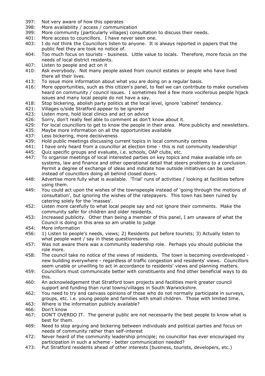- 397: Not very aware of how this operates
- 398: More availability / access / communication
- 399: More community (particularly villages) consultation to discuss their needs.
- 401: More access to councillors. I have never seen one.
- 403: I do not think the Councillors listen to anyone. It is always reported in papers that the public feel they are took no notice of.
- 404: Too much focus on tourists business. Little value to locals. Therefore, more focus on the needs of local district residents.
- 407: Listen to people and act on it
- 410: Ask everybody. Not many people asked from council estates or people who have lived there all their lives.
- 413: To issue more information about what you are doing on a regular basis.
- 416: More opportunities, such as this citizen's panel, to feel we can contribute to make ourselves heard on community / council issues. I sometimes feel a few more vociferous people hijack issues and many local people do not have a say.
- 418: Stop bickering, abolish party politics at the local level, ignore 'cabinet' tendency.
- 421: Villages o/side Stratford appear to be ignored
- 423: Listen more, hold local clinics and act on advice
- 426: Sorry, don't really feel able to comment as don't know about it.
- 429: For local councillors to get to know the people in their area. More publicity and newsletters.
- 435: Maybe more information on all the opportunities available
- 437: Less bickering, more decisiveness
- 439: Hold public meetings discussing current topics in local community centres
- 441: I have only heard from a councillor at election time this is not community leadership!
- 445: Quiz specific groups and evaluate, i.e. schools, OAP clubs, etc.
- 447: To organise meetings of local interested parties on key topics and make available info on systems, law and finance and other operational detail that steers problems to a conclusion. Permit a degree of exchange of ideas and indicate how outside initiatives can be used instead of councillors doing all behind closed doors.
- 448: Advertise more fully what is available. 'Trial' runs of activities / looking at facilities before using them.
- 449: You could act upon the wishes of the townspeople instead of 'going through the motions of consultation', but ignoring the wishes of the ratepayers. This town has been ruined by catering solely for the 'masses'.
- 452: Listen more carefully to what local people say and not ignore their comments. Make the community safer for children and older residents.
- 453: Increased publicity. Other than being a member of this panel, I am unaware of what the Council is doing in this area so am unable to judge
- 454: More information
- 456: 1) Listen to people's needs, views; 2) Residents put before tourists; 3) Actually listen to what people want / say in these questionnaires.
- 457: Was not aware there was a community leadership role. Perhaps you should publicise the role more.
- 458: The council take no notice of the views of residents. The town is becoming overdeveloped new building everywhere - regardless of traffic congestion and residents' views. Councillors seem unable or unwilling to act in accordance to residents' views and planning matters.
- 459: Councillors must communicate better with constituents and find other beneficial ways to do this.
- 460: An acknowledgement that Stratford town projects and facilities merit greater council support and funding than rural towns/villages in South Warwickshire.
- 462: You need to try and canvass opinions of those who do not normally participate in surveys, groups, etc. i.e. young people and families with small children. Those with limited time.
- 463: Where is the information publicly available?
- 466: Don't know
- 467: DON'T OVERDO IT. The general public are not necessarily the best people to know what is best for them.
- 469: Need to stop arguing and bickering between individuals and political parties and focus on needs of community rather than self-interest
- 472: Never heard of the community leadership principle; no councillor has ever encouraged my participation in such a scheme - better communication needed?
- 473: Put Stratford residents ahead of other interests (business, tourists, developers, etc.)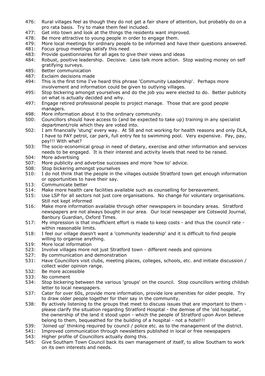- 476: Rural villages feel as though they do not get a fair share of attention, but probably do on a pro rata basis. Try to make them feel included.
- 477: Get into town and look at the things the residents want improved.
- 478: Be more attractive to young people in order to engage them.
- 479: More local meetings for ordinary people to be informed and have their questions answered.
- 481: Focus group meetings satisfy this need
- 483: Provide questionnaires for all ages to give their views and ideas
- 484: Robust, positive leadership. Decisive. Less talk more action. Stop wasting money on self gratifying surveys.
- 485: Better communication<br>487: Exclaim decisions mad
- Exclaim decisions made
- 494: This is the first time I've heard this phrase 'Community Leadership'. Perhaps more involvement and information could be given to outlying villages.
- 495: Stop bickering amongst yourselves and do the job you were elected to do. Better publicity on what is actually decided and why.
- 497: Engage retired professional people to project manage. Those that are good people managers.
- 498: More information about it to the ordinary community.
- 500: Councillors should have access to (and be expected to take up) training in any specialist department/role which they are voted into.
- 502: I am financially 'stung' every way. At 58 and not working for health reasons and only DLA, I have to PAY petrol, car park, full entry fee to swimming pool. Very expensive. Pay, pay, pay!!! With what?
- 503: The socio-economical group in need of dietary, exercise and other information and services needs to be engaged. It is their interest and activity levels that need to be raised.
- 504: More advertising
- 507: More publicity and advertise successes and more 'how to' advice.
- 508: Stop bickering amongst yourselves
- 510: I do not think that the people in the villages outside Stratford town get enough information or opportunities to have their say.
- 513: Communicate better
- 514: Make more health care facilities available such as counselling for bereavement.
- 515: Use LSP for all sectors not just core organisations. No change for voluntary organisations. Still not kept informed
- 516: Make more information available through other newspapers in boundary areas. Stratford newspapers are not always bought in our area. Our local newspaper are Cotswold Journal, Banbury Guardian, Oxford Times.
- 517: My impression is that insufficient effort is made to keep costs and thus the council rate within reasonable limits.
- 518: I feel our village doesn't want a 'community leadership' and it is difficult to find people willing to organise anything.
- 519: More local information
- 523: Involve villages more not just Stratford town different needs and opinions
- 527: By communication and demonstration
- 531: Have Councillors visit clubs, meeting places, colleges, schools, etc. and initiate discussion / collect wider opinion range.
- 532: Be more accessible
- 533: No comment
- 534: Stop bickering between the various 'groups' on the council. Stop councillors writing childish letter to local newspapers.
- 537: Cater for over 60s, provide more information, provide lore amenities for older people. Try to draw older people together for their say in the community.
- 538: By actively listening to the groups that meet to discuss issues that are important to them please clarify the situation regarding Stratford Hospital - the demise of the 'old hospital', the ownership of the land it stood upon - which the people of Stratford upon Avon believe belong to them, bequeathed for the building of a hospital - not a hotel!!!
- 539: 'Joined up' thinking required by council / police etc. as to the management of the district.<br>541: Improved communication through newsletters published in local or free newspapers
- Improved communication through newsletters published in local or free newspapers
- 543: Higher profile of Councillors actually doing this.
- 545: Give Southam Town Council back its own management of itself, to allow Southam to work on its own interests and needs.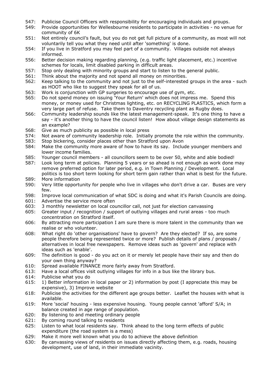- 547: Publicise Council Officers with responsibility for encouraging individuals and groups.
- 549: Provide opportunities for Wellesbourne residents to participate in activities no venue for community of 6K
- 551: Not entirely council's fault, but you do not get full picture of a community, as most will not voluntarily tell you what they need until after 'something' is done.
- 554: If you live in Stratford you may feel part of a community. Villages outside not always informed.
- 556: Better decision making regarding planning, (e.g. traffic light placement, etc.) incentive schemes for locals, limit disabled parking in difficult areas.
- 557: Stop only dealing with minority groups and start to listen to the general public.
- 561: Think about the majority and not spend all money on minorities.
- 562: Keep talking to the community and not just to the self-interested groups in the area such as HOOT who like to suggest they speak for all of us.
- 563: Work is conjunction with GP surgeries to encourage use of gym, etc.
- 565: Do not spend money on issuing 'Your Return' which does not impress me. Spend this money, or money used for Christmas lighting, etc. on RECYCLING PLASTICS, which form a very large part of refuse. Take them to Daventry recycling plant as Rugby does.
- 566: Community leadership sounds like the latest management-speak. It's one thing to have a say - it's another thing to have the council listen! How about village design statements as an example?
- 568: Give as much publicity as possible in local press
- 574: Not aware of community leadership role. Initially promote the role within the community.
- 583: Stop bickering, consider places other than Stratford upon Avon
- 584: Make the community more aware of how to have its say. Include younger members and lower income families.
- 585: Younger council members all councillors seem to be over 50, white and able bodied!
- 587: Look long term at policies. Planning 5 years or so ahead is not enough as work done may remove preferred option for later period, e.g. in Town Planning / Development. Local politics is too short term looking for short term gain rather than what is best for the future. 589: More information
- 590: Very little opportunity for people who live in villages who don't drive a car. Buses are very few.
- 598: Improve local communication of what SDC is doing and what it's Parish Councils are doing.
- 601: Advertise the service more often
- 603: 3 monthly newsletter on local councillor call, not just for election canvassing
- 605: Greater input / recognition / support of outlying villages and rural areas too much concentration on Stratford itself.
- 606: By attracting more participation I am sure there is more talent in the community than we realise or who volunteer.
- 608: What right do 'other organisations' have to govern? Are they elected? If so, are some people therefore being represented twice or more? Publish details of plans / proposals / alternatives in local free newspapers. Remove ideas such as 'govern' and replace with ideas such as 'enable'.
- 609: The definition is good do you act on it or merely let people have their say and then do your own thing anyway?
- 610: Spread available FINANCE more fairly away from Stratford.
- 613: Have a local offices visit outlying villages for info in a bus like the library bus.
- 614: Publicise what you do
- 615: 1) Better information in local paper or 2) information by post (I appreciate this may be expensive), 3) Improve website
- 618: Publicise the activities for the different age groups better. Leaflet the houses with what is available.
- 619: More 'social' housing less expensive housing. Young people cannot 'afford' S/A; in balance created in age range of population.
- 620: By listening to and meeting ordinary people
- 621: By coming round talking to residents
- 625: Listen to what local residents say. Think ahead to the long term effects of public expenditure (the road system is a mess)
- 629: Make it more well known what you do to achieve the above definition
- 630: By canvassing views of residents on issues directly affecting them, e.g. roads, housing development, use of land, in their immediate vacinity.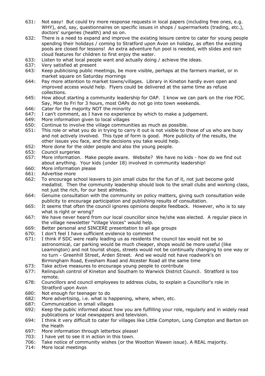- 631: Not easy! But could try more response requests in local papers (including free ones, e.g. WHY), and, say, questionnaires on specific issues in shops / supermarkets (trading, etc.), doctors' surgeries (health) and so on.
- 632: There is a need to expand and improve the existing leisure centre to cater for young people spending their holidays / coming to Stratford upon Avon on holiday, as often the existing pools are closed for lessons! An extra adventure fun pool is needed, with slides and rain cloud features for children to first enjoy the water.
- 633: Listen to what local people want and actually doing / achieve the ideas.
- 637: Very satisfied at present
- 643: Keep publicising public meetings, be more visible, perhaps at the farmers market, or in market square on Saturday mornings
- 644: Pay more attention to market towns/villages. Library in Kineton hardly even open and improved access would help. Flyers could be delivered at the same time as refuse collections.
- 645: How about starting a community leadership for OAP. I know we can park on the rise FOC. Say, Mon to Fri for 3 hours, most OAPs do not go into town weekends.
- 646: Cater for the majority NOT the minority
- 647: I can't comment, as I have no experience by which to make a judgement.
- 649: More information given to local villages
- 650: Continue to involve the village communities as much as possible.
- 651: This role or what you do in trying to carry it out is not visible to those of us who are busy and not actively involved. This type of form is good. More publicity of the results, the other issues you face, and the decisions you take would help.
- 652: More done for the older people and also the young people.
- 653: Council surgeries
- 657: More information. Make people aware. Website? We have no kids how do we find out about anything. Your kids (under 18) involved in community leadership!
- 660: More information please
- 661: Advertise more
- 662: To encourage school leavers to join small clubs for the fun of it, not just become gold medallist. Then the community leadership should look to the small clubs and working class, not just the rich, for our best athletes.
- 664: Genuine consultation with the community on policy matters, giving such consultation wide publicity to encourage participation and publishing results of consultation.
- 665: It seems that often the council ignores opinions despite feedback. However, who is to say what is right or wrong?
- 667: We have never heard from our local councillor since he/she was elected. A regular piece in the village newsletter "Village Voices" would help.
- 669: Better personal and SINCERE presentation to all age groups
- 670: I don't feel I have sufficient evidence to comment
- 671: I think if SDC were really leading us as residents the council tax would not be so astronomical, car parking would be much cheaper, shops would be more useful (like Leamington) and not tourist shops, streets would not be continually changing to one way or no turn - Greenhill Street, Arden Street. And we would not have roadwork's on Birmingham Road, Evesham Road and Alcester Road all the same time
- 673: Take active measures to encourage young people to contribute
- 677: Relinquish control of Kineton and Southam to Warwick District Council. Stratford is too remote.
- 678: Councillors and council employees to address clubs, to explain a Councillor's role in Stratford upon Avon
- 680: Not enough for teenager to do
- 682: More advertising, i.e. what is happening, where, when, etc.
- 687: Communication in small villages
- 692: Keep the public informed about how you are fulfilling your role, regularly and in widely read publications or local newspapers and television.
- 694: I think it very difficult to cater for villages like Little Compton, Long Compton and Barton on the Heath
- 697: More information through letterbox please!
- 703: I have yet to see it in action in this town.
- 706: Take notice of community wishes (or the Wootton Wawen issue). A REAL majority.
- 714: More local meetings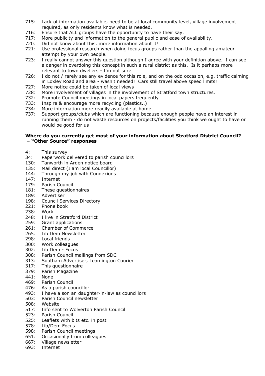- 715: Lack of information available, need to be at local community level, village involvement required, as only residents know what is needed.
- 716: Ensure that ALL groups have the opportunity to have their say.
- 717: More publicity and information to the general public and ease of availability.
- 720: Did not know about this, more information about it!
- 721: Use professional research when doing focus groups rather than the appalling amateur attempt by your own people.
- 723: I really cannot answer this question although I agree with your definition above. I can see a danger in overdoing this concept in such a rural district as this. Is it perhaps more relevant to town dwellers - I'm not sure.
- 726: I do not / rarely see any evidence for this role, and on the odd occasion, e.g. traffic calming in Loxley Road and area - wasn't needed! Cars still travel above speed limits!
- 727: More notice could be taken of local views
- 728: More involvement of villages in the involvement of Stratford town structures.
- 732: Promote Council meetings in local papers frequently
- 733: Inspire & encourage more recycling (plastics..)
- 734: More information more readily available at home
- 737: Support groups/clubs which are functioning because enough people have an interest in running them - do not waste resources on projects/facilities you think we ought to have or would be good for us

#### **Where do you currently get most of your information about Stratford District Council? – "Other Source" responses**

- 4: This survey
- 34: Paperwork delivered to parish councillors
- 130: Tanworth in Arden notice board
- 135: Mail direct (I am local Councillor)
- 144: Through my job with Connexions
- 147: Internet
- 179: Parish Council
- 181: These questionnaires
- 189: Advertiser
- 198: Council Services Directory
- 221: Phone book
- 238: Work
- 248: I live in Stratford District
- 259: Grant applications
- 261: Chamber of Commerce
- 265: Lib Dem Newsletter
- 298: Local friends
- 300: Work colleagues
- 302: Lib Dem Focus
- Parish Council mailings from SDC
- 313: Southam Advertiser, Leamington Courier
- 317: This questionnaire
- 379: Parish Magazine
- 441: None
- 469: Parish Council
- 476: As a parish councillor
- 493: I have a son an daughter-in-law as councillors
- 503: Parish Council newsletter
- 508: Website
- 517: Info sent to Wolverton Parish Council
- 523: Parish Council
- 525: Leaflets with bits etc. in post
- 578: Lib/Dem Focus
- 598: Parish Council meetings
- 651: Occasionally from colleagues
- 667: Village newsletter
- 693: Internet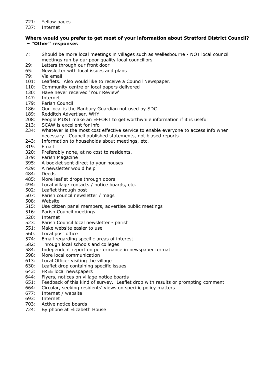#### 721: Yellow pages

737: Internet

#### **Where would you prefer to get most of your information about Stratford District Council? – "Other" responses**

- 7: Should be more local meetings in villages such as Wellesbourne NOT local council meetings run by our poor quality local councillors
- 29: Letters through our front door
- 65: Newsletter with local issues and plans<br>79: Via email
- Via email
- 101: Leaflets. Also would like to receive a Council Newspaper.
- 110: Community centre or local papers delivered
- 130: Have never received 'Your Review'
- 147: Internet
- 179: Parish Council
- 186: Our local is the Banbury Guardian not used by SDC
- 189: Redditch Advertiser, WHY
- 208: People MUST make an EFFORT to get worthwhile information if it is useful
- 213: SCAW is excellent for info
- 234: Whatever is the most cost effective service to enable everyone to access info when necessary. Council published statements, not biased reports.
- 243: Information to households about meetings, etc.
- 319: Email
- 320: Preferably none, at no cost to residents.
- 379: Parish Magazine
- 395: A booklet sent direct to your houses
- 429: A newsletter would help
- 484: Deeds
- 485: More leaflet drops through doors
- 494: Local village contacts / notice boards, etc.
- 502: Leaflet through post
- 507: Parish council newsletter / mags
- 508: Website
- 515: Use citizen panel members, advertise public meetings
- 516: Parish Council meetings
- 520: Internet
- 523: Parish Council local newsletter parish
- 551: Make website easier to use
- 560: Local post office
- 574: Email regarding specific areas of interest
- 582: Through local schools and colleges
- 584: Independent report on performance in newspaper format
- 598: More local communication
- 613: Local Officer visiting the village
- 630: Leaflet drop containing specific issues
- 643: FREE local newspapers
- 644: Flyers, notices on village notice boards
- 651: Feedback of this kind of survey. Leaflet drop with results or prompting comment
- 664: Circular, seeking residents' views on specific policy matters
- 677: Internet / website
- 693: Internet
- 703: Active notice boards
- 724: By phone at Elizabeth House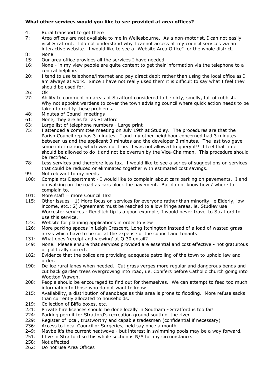#### **What other services would you like to see provided at area offices?**

- 4: Rural transport to get there
- 7: Area offices are not available to me in Wellesbourne. As a non-motorist, I can not easily visit Stratford. I do not understand why I cannot access all my council services via an interactive website. I would like to see a "Website Area Office" for the whole district. 8: None
- 
- 15: Our area office provides all the services I have needed
- 16: None in my view people are quite content to get their information via the telephone to a central helpline.
- 20: I tend to use telephone/internet and pay direct debit rather than using the local office as I am always at work. Since I have not really used them it is difficult to say what I feel they should be used for.
- 26: Ok
- 27: Ability to comment on areas of Stratford considered to be dirty, smelly, full of rubbish. Why not appoint wardens to cover the town advising council where quick action needs to be taken to rectify these problems.
- 48: Minutes of Council meetings
- 61: None, they are as far as Stratford
- 63: Large list of telephone numbers Large print
- 75: I attended a committee meeting on July 19th at Studley. The procedures are that the Parish Council rep has 3 minutes. I and my other neighbour concerned had 3 minutes between us and the applicant 3 minutes and the developer 3 minutes. The last two gave some information, which was not true. I was not allowed to query it!! I feel that time should be allowed to do it and not be overrun by the Vice-Chairman. This procedure should be rectified.
- 78: Less services and therefore less tax. I would like to see a series of suggestions on services that could be reduced or eliminated together with estimated cost savings.
- 99: Not relevant to my needs
- 100: Complaints Department I would like to complain about cars parking on pavements. I end up walking on the road as cars block the pavement. But do not know how / where to complain to.
- 101: More staff = more Council Tax!
- 115: Other issues 1) More focus on services for everyone rather than minority, ie Elderly, low income, etc.; 2) Agreement must be reached to allow fringe areas, ie. Studley use Worcester services - Redditch tip is a good example, I would never travel to Stratford to use this service.
- 123: Website for planning applications in order to view
- 126: More parking spaces in Leigh Crescent, Long Itchington instead of a load of wasted grass areas which have to be cut at the expense of the council and tenants
- 131: What does 'receipt and viewing' at Q.30 entail?
- 149: None. Please ensure that services provided are essential and cost effective not gratuitous or politically correct.
- 182: Evidence that the police are providing adequate patrolling of the town to uphold law and order.
- 190: De-ice rural lanes when needed. Cut grass verges more regular and dangerous bends and cut back garden trees overgrowing into road, i.e. Conifers before Catholic church going into Wootton Wawen.
- 208: People should be encouraged to find out for themselves. We can attempt to feed too much information to those who do not want to know
- 215: Availability, a distribution of sandbags as this area is prone to flooding. More refuse sacks than currently allocated to households.
- 219: Collection of Biffa boxes, etc.
- 221: Private hire licences should be done locally in Southam Stratford is too far!
- 224: Parking permit for Stratford's recreation ground south of the river
- 229: Register of local, trustworthy and capable tradesmen (confidential if necessary)
- 236: Access to Local Councillor Surgeries, held say once a month
- 249: Maybe it's the current heatwave but interest in swimming pools may be a way forward.
- 251: I live in Stratford so this whole section is N/A for my circumstance.
- 258: Not affected
- 262: Do not use Area Offices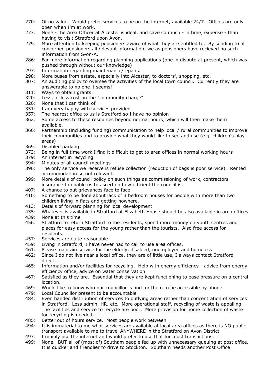- 270: Of no value. Would prefer services to be on the internet, available 24/7. Offices are only open when I'm at work.
- 273: None the Area Officer at Alcester is ideal, and save so much in time, expense than having to visit Stratford upon Avon.
- 279: More attention to keeping pensioners aware of what they are entitled to. By sending to all concerned pensioners all relevant information, we as pensioners have recieved no such information from S-on-A.
- 286: Far more information regarding planning applications (one in dispute at present, which was pushed through without our knowledge)
- 297: Information regarding maintenance/repairs.
- 298: More buses from estate, especially into Alcester, to doctors', shopping, etc.
- 307: An auditing policy to oversee the activities of the local town council. Currently they are answerable to no one it seems!!
- 311: Ways to obtain grants!
- 320: Less, at less cost on the "community charge"
- 326: None that I can think of
- 351: I am very happy with services provided
- 357: The nearest office to us is Stratford so I have no opinion
- 362: Some access to these resources beyond normal hours; which will then make them available.
- 366: Partnership (including funding) communication to help local / rural communities to improve their communities and to provide what they would like to see and use (e.g. children's play areas)
- 369: Disabled parking
- 373: Being in full time work I find it difficult to get to area offices in normal working hours
- 379: An interest in recycling
- 394: Minutes of all council meetings
- 396: The only service we receive is refuse collection (reduction of bags is poor service). Rented accommodation so not relevant.
- 399: More details of council policy on such things as commissioning of work, contractors insurance to enable us to ascertain how efficient the council is.
- 407: A chance to put grievances face to face
- 410: Something to be done about lack of 3 bedroom houses for people with more than two children living in flats and getting nowhere.
- 413: Details of forward planning for local development
- 435: Whatever is available in Stratford at Elizabeth House should be also available in area offices
- 439: None at this time
- 456: Stratford to return Stratford to the residents, spend more money on youth centres and places for easy access for the young rather than the tourists. Also free access for residents.
- 457: Services are quite reasonable
- 459: Living in Stratford, I have never had to call to use area offices.
- 461: Please maintain service for the elderly, disabled, unemployed and homeless
- 462: Since I do not live near a local office, they are of little use, I always contact Stratford direct.
- 465: Information and/or facilities for recycling. Help with energy efficiency advice from energy efficiency office, advice on water conservation.
- 467: Satisfied as they are. Essential that they are kept functioning to ease pressure on a central location.
- 469: Would like to know who our councillor is and for them to be accessible by phone
- 479: Local Councillor present to be accountable
- 484: Even handed distribution of services to outlying areas rather than concentration of services in Stratford. Less admin, HR, etc. More operational staff, recycling of waste is appalling. The facilities and service to recycle are poor. More provision for home collection of waste for recycling is needed.
- 485: Better out of hours service. Most people work between
- 494: It is immaterial to me what services are available at local area offices as there is NO public transport available to me to travel ANYWHERE in the Stratford on Avon District
- 497: I mainly use the internet and would prefer to use that for most transactions.
- 499: None. BUT all of (most of) Southam people fed up with unnecessary queuing at post office. It is quicker and friendlier to drive to Stockton. Southam needs another Post Office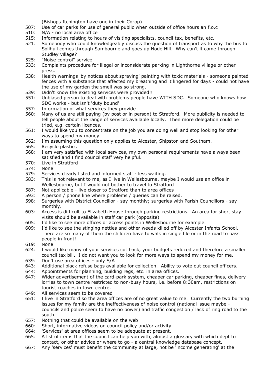(Bishops Itchington have one in their Co-op)

- 507: Use of car parks for use of general public when outside of office hours an f.o.c
- 510: N/A no local area office
- 515: Information relating to hours of visiting specialists, council tax, benefits, etc.
- 521: Somebody who could knowledgeably discuss the question of transport as to why the bus to Solihull comes through Sambourne and goes up Node Hill. Why can't it come through Studley village?
- 525: "Noise control" service
- 533: Complaints procedure for illegal or inconsiderate parking in Lighthorne village or other press.
- 538: Health warnings 'by notices about spraying' painting with toxic materials someone painted fences with a substance that affected my breathing and it lingered for days - could not have the use of my garden the smell was so strong.
- 539: Didn't know the existing services were provided!!
- 551: Unbiased person to deal with problems people have WITH SDC. Someone who knows how SDC works - but isn't 'duty bound'
- 557: Information of what services they provide
- 560: Many of us are still paying (by post or in person) to Stratford. More publicity is needed to tell people about the range of services available locally. Then more delegation could be tried, e.g. certain licences.
- 561: I would like you to concentrate on the job you are doing well and stop looking for other ways to spend my money
- 562: I'm assuming this question only applies to Alcester, Shipston and Southam.
- 565: Recycle plastics
- 568: I am very satisfied with local services, my own personal requirements have always been satisfied and I find council staff very helpful.
- 570: Live in Stratford
- 574: None
- 579: Services clearly listed and informed staff less waiting.
- 583: This is not relevant to me, as I live in Wellesbourne, maybe I would use an office in Wellesbourne, but I would not bother to travel to Stratford
- 587: Not applicable live closer to Stratford than to area offices
- 593: A person / phone line where problems / queries can be raised.
- 598: Surgeries with District Councillor say monthly; surgeries with Parish Councillors say monthly.
- 603: Access is difficult to Elizabeth House through parking restrictions. An area for short stay visits should be available in staff car park (opposite)
- 605: I'd like to see more offices or access points in Wellesbourne for example.
- 609: I'd like to see the stinging nettles and other weeds killed off by Alcester Infants School. There are so many of them the children have to walk in single file or in the road to pass people in front!
- 619: None
- 624: I would like many of your services cut back, your budgets reduced and therefore a smaller council tax bill. I do not want you to look for more ways to spend my money for me.
- 639: Don't use area offices only S/A
- 643: Additional black refuse bags available for collection. Ability to vote out council officers.
- 644: Appointments for planning, building regs, etc. in area offices.
- 647: Wider advertisement of the card-park system, cheaper car parking, cheaper fines, delivery lorries to town centre restricted to non-busy hours, i.e. before 8:30am, restrictions on tourist coaches in town centre.
- 649: All services seem to be covered
- 651: I live in Stratford so the area offices are of no great value to me. Currently the two burning issues for my family are the ineffectiveness of noise control (national issue maybe councils and police seem to have no power) and traffic congestion / lack of ring road to the south.
- 657: Nothing that could be available on the web
- 660: Short, informative videos on council policy and/or activity
- 664: 'Services' at area offices seem to be adequate at present.
- 665: A list of items that the council can help you with, almost a glossary with which dept to contact, or other advice or where to go - a central knowledge database concept.
- 667: Any 'services' must benefit the community at large, not be 'income generating' at the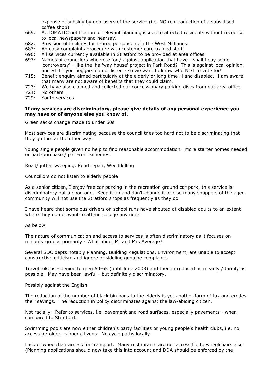expense of subsidy by non-users of the service (i.e. NO reintroduction of a subsidised coffee shop)

- 669: AUTOMATIC notification of relevant planning issues to affected residents without recourse to local newspapers and hearsay.
- 682: Provision of facilities for retired persons, as in the West Midlands.
- 687: An easy complaints procedure with customer care trained staff.
- 696: All services currently available in Stratford to be provided at area offices
- 697: Names of councillors who vote for / against application that have shall I say some 'controversy' - like the 'halfway house' project in Park Road? This is against local opinion, and STILL you beggars do not listen - so we want to know who NOT to vote for!
- 715: Benefit enquiry aimed particularly at the elderly or long time ill and disabled. I am aware that many are not aware of benefits that they could claim.
- 723: We have also claimed and collected our concessionary parking discs from our area office.
- 724: No others
- 729: Youth services

#### **If any services are discriminatory, please give details of any personal experience you may have or of anyone else you know of.**

Green sacks change made to under 60s

Most services are discriminating because the council tries too hard not to be discriminating that they go too far the other way.

Young single people given no help to find reasonable accommodation. More starter homes needed or part-purchase / part-rent schemes.

Road/gutter sweeping, Road repair, Weed killing

Councillors do not listen to elderly people

As a senior citizen, I enjoy free car parking in the recreation ground car park; this service is discriminatory but a good one. Keep it up and don't change it or else many shoppers of the aged community will not use the Stratford shops as frequently as they do.

I have heard that some bus drivers on school runs have shouted at disabled adults to an extent where they do not want to attend college anymore!

#### As below

The nature of communication and access to services is often discriminatory as it focuses on minority groups primarily - What about Mr and Mrs Average?

Several SDC depts notably Planning, Building Regulations, Environment, are unable to accept constructive criticism and ignore or sideline genuine complaints.

Travel tokens - denied to men 60-65 (until June 2003) and then introduced as meanly / tardily as possible. May have been lawful - but definitely discriminatory.

Possibly against the English

The reduction of the number of black bin bags to the elderly is yet another form of tax and erodes their savings. The reduction in policy discriminates against the law-abiding citizen.

Not racially. Refer to services, i.e. pavement and road surfaces, especially pavements - when compared to Stratford.

Swimming pools are now either children's party facilities or young people's health clubs, i.e. no access for older, calmer citizens. No cycle paths locally.

Lack of wheelchair access for transport. Many restaurants are not accessible to wheelchairs also (Planning applications should now take this into account and DDA should be enforced by the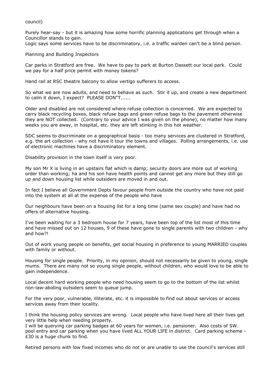council)

Purely hear-say - but it is amazing how some horrific planning applications get through when a Councillor stands to gain.

Logic says some services have to be discriminatory, i.e. a traffic warden can't be a blind person.

Planning and Building Inspectors

Car parks in Stratford are free. We have to pay to park at Burton Dassett our local park. Could we pay for a half price permit with money tokens?

Hand rail at RSC theatre balcony to allow vertigo sufferers to access.

So what we are now adults, and need to behave as such. Stir it up, and create a new department to calm it down, I expect? PLEASE DON"T......

Older and disabled are not considered where refuse collection is concerned. We are expected to carry black recycling boxes, black refuse bags and green refuse bags to the pavement otherwise they are NOT collected. (Contrary to your advice I was given on the phone), no matter how many weeks you are away, in hospital, etc. they are left stinking in this hot weather.

SDC seems to discriminate on a geographical basis - too many services are clustered in Stratford, e.g. the art collection - why not have it tour the towns and villages. Polling arrangements, i.e. use of electronic machines have a discriminatory element.

Disability provision in the town itself is very poor.

My son Mr X is living in an upstairs flat which is damp; security doors are more out of working order than working; ha and his son have health points and cannot get any more but they still go up and down housing list while outsiders are moved in and out.

In fact I believe all Government Depts favour people from outside the country who have not paid into the system at all at the expense of the people who have

Our neighbours have been on a housing list for a long time (same sex couple) and have had no offers of alternative housing.

I've been waiting for a 3 bedroom house for 7 years, have been top of the list most of this time and have missed out on 12 houses, 9 of these have gone to single parents with two children - why and how?!

Out of work young people on benefits, get social housing in preference to young MARRIED couples with family or without.

Housing for single people. Priority, in my opinion, should not necessarily be given to young, single mums. There are many not so young single people, without children, who would love to be able to gain independence.

Local decent hard working people who need housing seem to go to the bottom of the list whilst non-law-abiding outsiders seem to queue jump.

For the very poor, vulnerable, illiterate, etc. it is impossible to find out about services or access services away from their locality.

I think the housing policy services are wrong. Local people who have lived here all their lives get very little help when needing property.

I will be querying car parking badges at 60 years for women, i.e. pensioner. Also costs of SW. pool entry and car parking when you have lived ALL YOUR LIFE in district. Card parking scheme - £30 is a huge chunk to find.

Retired persons with low fixed incomes who do not or are unable to use the council's services still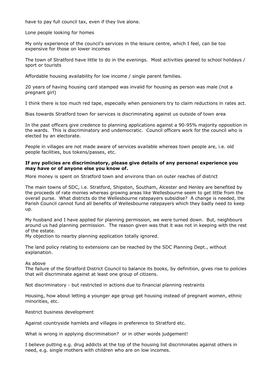have to pay full council tax, even if they live alone.

Lone people looking for homes

My only experience of the council's services in the leisure centre, which I feel, can be too expensive for those on lower incomes

The town of Stratford have little to do in the evenings. Most activities geared to school holidays / sport or tourists

Affordable housing availability for low income / single parent families.

20 years of having housing card stamped was invalid for housing as person was male (not a pregnant girl)

I think there is too much red tape, especially when pensioners try to claim reductions in rates act.

Bias towards Stratford town for services is discriminating against us outside of town area

In the past officers give credence to planning applications against a 90-95% majority opposition in the wards. This is discriminatory and undemocratic. Council officers work for the council who is elected by an electorate.

People in villages are not made aware of services available whereas town people are, i.e. old people facilities, bus tokens/passes, etc.

#### **If any policies are discriminatory, please give details of any personal experience you may have or of anyone else you know of.**

More money is spent on Stratford town and environs than on outer reaches of district

The main towns of SDC, i.e. Stratford, Shipston, Southam, Alcester and Henley are benefited by the proceeds of rate monies whereas growing areas like Wellesbourne seem to get little from the overall purse. What districts do the Wellesbourne ratepayers subsidise? A change is needed, the Parish Council cannot fund all benefits of Wellesbourne ratepayers which they badly need to keep up.

My husband and I have applied for planning permission, we were turned down. But, neighbours around us had planning permission. The reason given was that it was not in keeping with the rest of the estate.

My objection to nearby planning application totally ignored.

The land policy relating to extensions can be reached by the SDC Planning Dept., without explanation.

#### As above

The failure of the Stratford District Council to balance its books, by definition, gives rise to policies that will discriminate against at least one group of citizens.

Not discriminatory - but restricted in actions due to financial planning restraints

Housing, how about letting a younger age group get housing instead of pregnant women, ethnic minorities, etc.

Restrict business development

Against countryside hamlets and villages in preference to Stratford etc.

What is wrong in applying discrimination? or in other words judgement!

I believe putting e.g. drug addicts at the top of the housing list discriminates against others in need, e.g. single mothers with children who are on low incomes.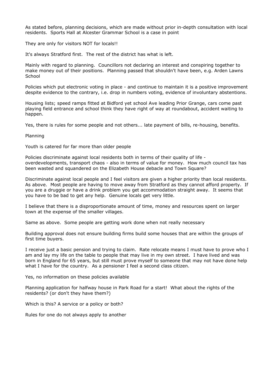As stated before, planning decisions, which are made without prior in-depth consultation with local residents. Sports Hall at Alcester Grammar School is a case in point

They are only for visitors NOT for locals!!

It's always Stratford first. The rest of the district has what is left.

Mainly with regard to planning. Councillors not declaring an interest and conspiring together to make money out of their positions. Planning passed that shouldn't have been, e.g. Arden Lawns **School** 

Policies which put electronic voting in place - and continue to maintain it is a positive improvement despite evidence to the contrary, i.e. drop in numbers voting, evidence of involuntary abstentions.

Housing lists; speed ramps fitted at Bidford yet school Ave leading Prior Grange, cars come past playing field entrance and school think they have right of way at roundabout, accident waiting to happen.

Yes, there is rules for some people and not others... late payment of bills, re-housing, benefits.

Planning

Youth is catered for far more than older people

Policies discriminate against local residents both in terms of their quality of life overdevelopments, transport chaos - also in terms of value for money. How much council tax has been wasted and squandered on the Elizabeth House debacle and Town Square?

Discriminate against local people and I feel visitors are given a higher priority than local residents. As above. Most people are having to move away from Stratford as they cannot afford property. If you are a druggie or have a drink problem you get accommodation straight away. It seems that you have to be bad to get any help. Genuine locals get very little.

I believe that there is a disproportionate amount of time, money and resources spent on larger town at the expense of the smaller villages.

Same as above. Some people are getting work done when not really necessary

Building approval does not ensure building firms build some houses that are within the groups of first time buyers.

I receive just a basic pension and trying to claim. Rate relocate means I must have to prove who I am and lay my life on the table to people that may live in my own street. I have lived and was born in England for 65 years, but still must prove myself to someone that may not have done help what I have for the country. As a pensioner I feel a second class citizen.

Yes, no information on these policies available

Planning application for halfway house in Park Road for a start! What about the rights of the residents? (or don't they have them?)

Which is this? A service or a policy or both?

Rules for one do not always apply to another